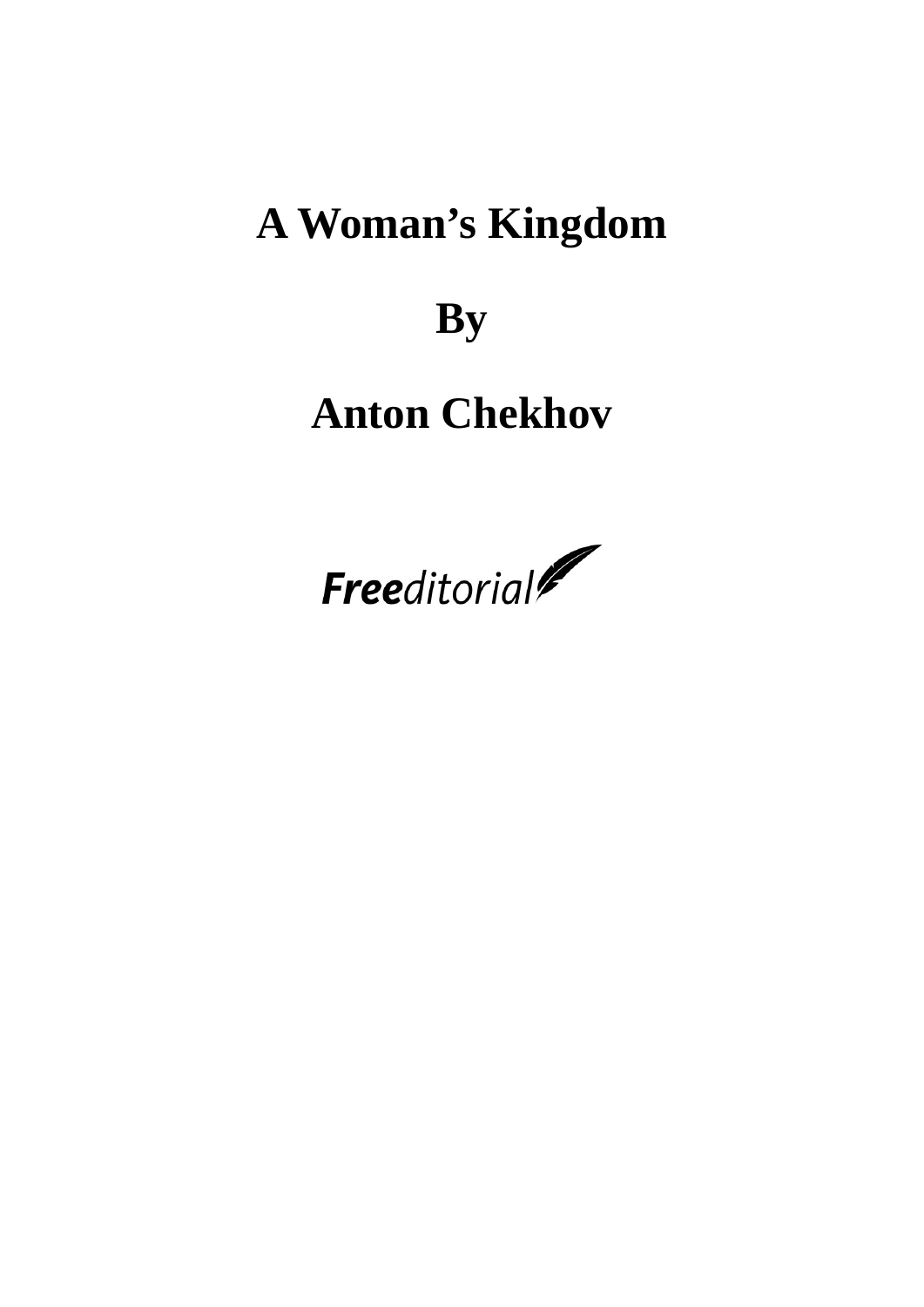# **A Woman's Kingdom**

**By**

# **Anton Chekhov**

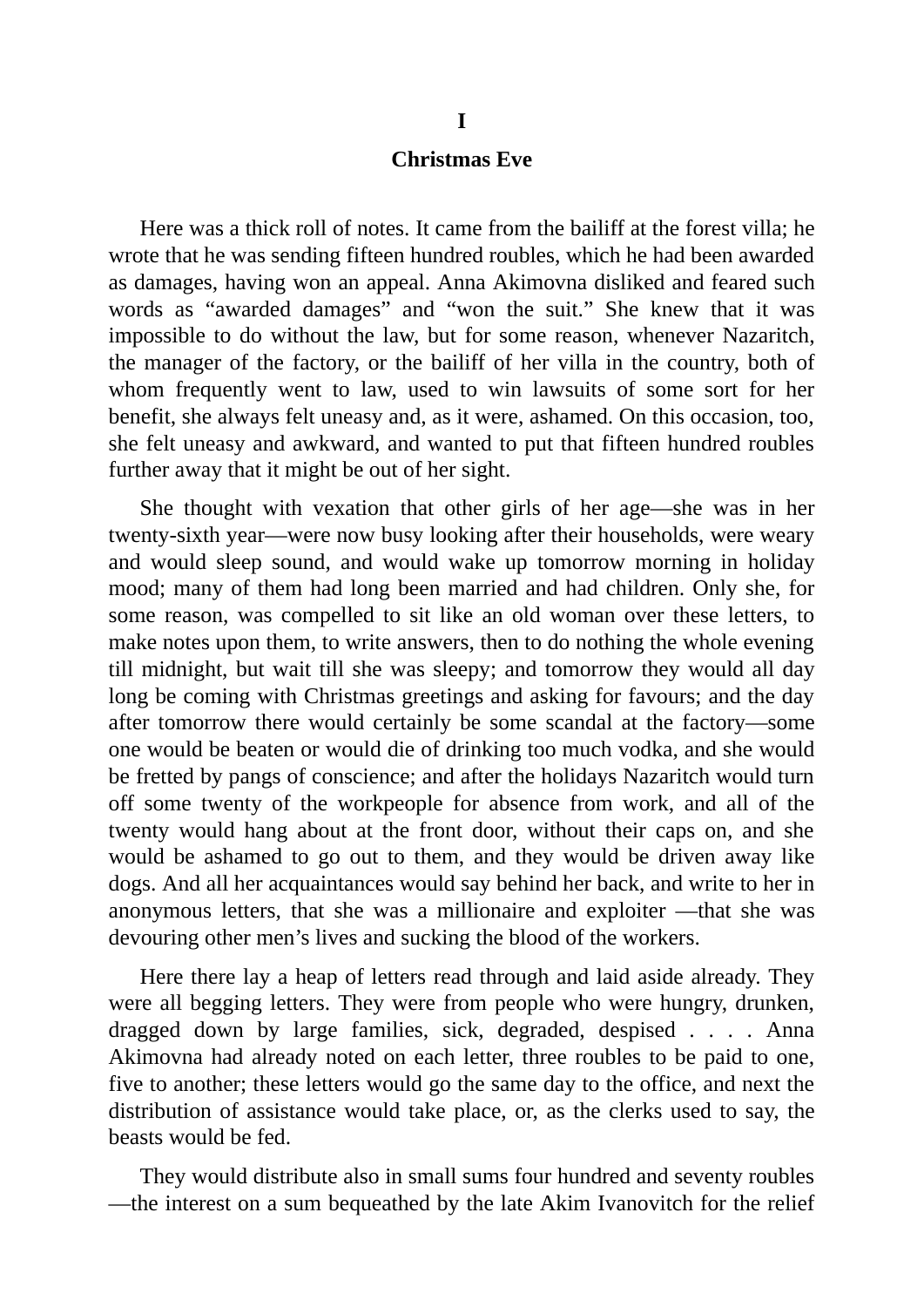# **Christmas Eve**

Here was a thick roll of notes. It came from the bailiff at the forest villa; he wrote that he was sending fifteen hundred roubles, which he had been awarded as damages, having won an appeal. Anna Akimovna disliked and feared such words as "awarded damages" and "won the suit." She knew that it was impossible to do without the law, but for some reason, whenever Nazaritch, the manager of the factory, or the bailiff of her villa in the country, both of whom frequently went to law, used to win lawsuits of some sort for her benefit, she always felt uneasy and, as it were, ashamed. On this occasion, too, she felt uneasy and awkward, and wanted to put that fifteen hundred roubles further away that it might be out of her sight.

She thought with vexation that other girls of her age—she was in her twenty-sixth year—were now busy looking after their households, were weary and would sleep sound, and would wake up tomorrow morning in holiday mood; many of them had long been married and had children. Only she, for some reason, was compelled to sit like an old woman over these letters, to make notes upon them, to write answers, then to do nothing the whole evening till midnight, but wait till she was sleepy; and tomorrow they would all day long be coming with Christmas greetings and asking for favours; and the day after tomorrow there would certainly be some scandal at the factory—some one would be beaten or would die of drinking too much vodka, and she would be fretted by pangs of conscience; and after the holidays Nazaritch would turn off some twenty of the workpeople for absence from work, and all of the twenty would hang about at the front door, without their caps on, and she would be ashamed to go out to them, and they would be driven away like dogs. And all her acquaintances would say behind her back, and write to her in anonymous letters, that she was a millionaire and exploiter —that she was devouring other men's lives and sucking the blood of the workers.

Here there lay a heap of letters read through and laid aside already. They were all begging letters. They were from people who were hungry, drunken, dragged down by large families, sick, degraded, despised . . . . Anna Akimovna had already noted on each letter, three roubles to be paid to one, five to another; these letters would go the same day to the office, and next the distribution of assistance would take place, or, as the clerks used to say, the beasts would be fed.

They would distribute also in small sums four hundred and seventy roubles —the interest on a sum bequeathed by the late Akim Ivanovitch for the relief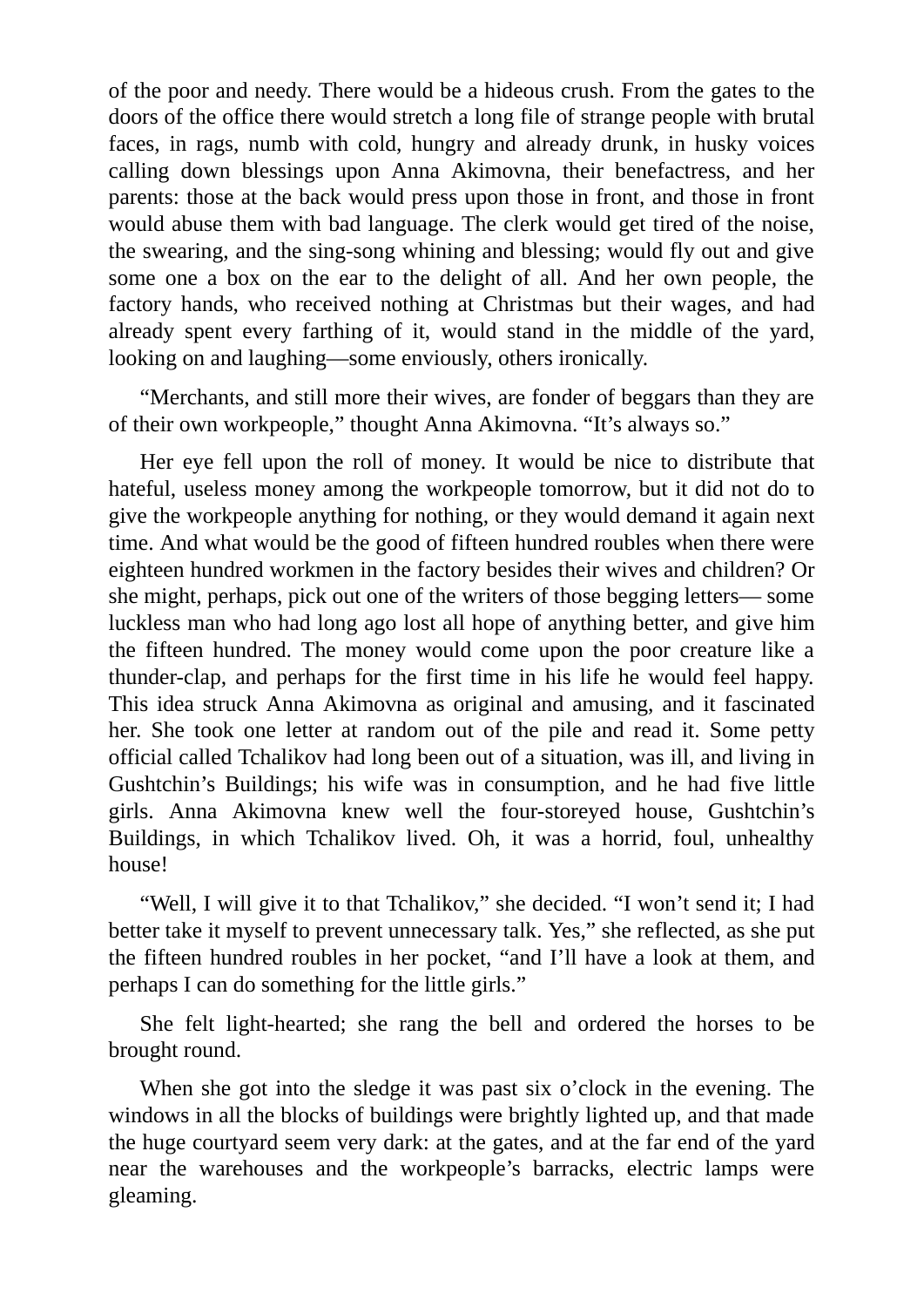of the poor and needy. There would be a hideous crush. From the gates to the doors of the office there would stretch a long file of strange people with brutal faces, in rags, numb with cold, hungry and already drunk, in husky voices calling down blessings upon Anna Akimovna, their benefactress, and her parents: those at the back would press upon those in front, and those in front would abuse them with bad language. The clerk would get tired of the noise, the swearing, and the sing-song whining and blessing; would fly out and give some one a box on the ear to the delight of all. And her own people, the factory hands, who received nothing at Christmas but their wages, and had already spent every farthing of it, would stand in the middle of the yard, looking on and laughing—some enviously, others ironically.

"Merchants, and still more their wives, are fonder of beggars than they are of their own workpeople," thought Anna Akimovna. "It's always so."

Her eye fell upon the roll of money. It would be nice to distribute that hateful, useless money among the workpeople tomorrow, but it did not do to give the workpeople anything for nothing, or they would demand it again next time. And what would be the good of fifteen hundred roubles when there were eighteen hundred workmen in the factory besides their wives and children? Or she might, perhaps, pick out one of the writers of those begging letters— some luckless man who had long ago lost all hope of anything better, and give him the fifteen hundred. The money would come upon the poor creature like a thunder-clap, and perhaps for the first time in his life he would feel happy. This idea struck Anna Akimovna as original and amusing, and it fascinated her. She took one letter at random out of the pile and read it. Some petty official called Tchalikov had long been out of a situation, was ill, and living in Gushtchin's Buildings; his wife was in consumption, and he had five little girls. Anna Akimovna knew well the four-storeyed house, Gushtchin's Buildings, in which Tchalikov lived. Oh, it was a horrid, foul, unhealthy house!

"Well, I will give it to that Tchalikov," she decided. "I won't send it; I had better take it myself to prevent unnecessary talk. Yes," she reflected, as she put the fifteen hundred roubles in her pocket, "and I'll have a look at them, and perhaps I can do something for the little girls."

She felt light-hearted; she rang the bell and ordered the horses to be brought round.

When she got into the sledge it was past six o'clock in the evening. The windows in all the blocks of buildings were brightly lighted up, and that made the huge courtyard seem very dark: at the gates, and at the far end of the yard near the warehouses and the workpeople's barracks, electric lamps were gleaming.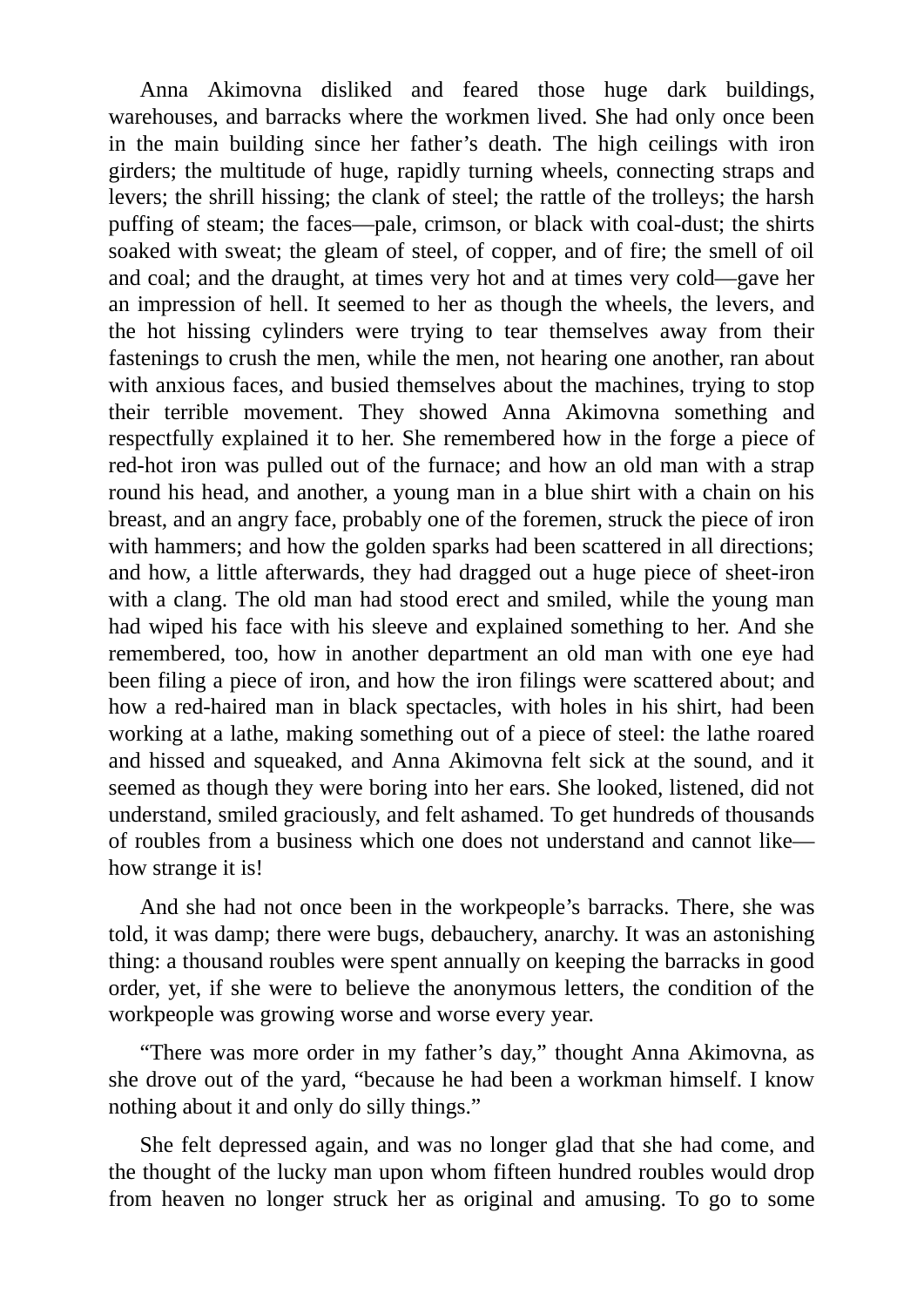Anna Akimovna disliked and feared those huge dark buildings, warehouses, and barracks where the workmen lived. She had only once been in the main building since her father's death. The high ceilings with iron girders; the multitude of huge, rapidly turning wheels, connecting straps and levers; the shrill hissing; the clank of steel; the rattle of the trolleys; the harsh puffing of steam; the faces—pale, crimson, or black with coal-dust; the shirts soaked with sweat; the gleam of steel, of copper, and of fire; the smell of oil and coal; and the draught, at times very hot and at times very cold—gave her an impression of hell. It seemed to her as though the wheels, the levers, and the hot hissing cylinders were trying to tear themselves away from their fastenings to crush the men, while the men, not hearing one another, ran about with anxious faces, and busied themselves about the machines, trying to stop their terrible movement. They showed Anna Akimovna something and respectfully explained it to her. She remembered how in the forge a piece of red-hot iron was pulled out of the furnace; and how an old man with a strap round his head, and another, a young man in a blue shirt with a chain on his breast, and an angry face, probably one of the foremen, struck the piece of iron with hammers; and how the golden sparks had been scattered in all directions; and how, a little afterwards, they had dragged out a huge piece of sheet-iron with a clang. The old man had stood erect and smiled, while the young man had wiped his face with his sleeve and explained something to her. And she remembered, too, how in another department an old man with one eye had been filing a piece of iron, and how the iron filings were scattered about; and how a red-haired man in black spectacles, with holes in his shirt, had been working at a lathe, making something out of a piece of steel: the lathe roared and hissed and squeaked, and Anna Akimovna felt sick at the sound, and it seemed as though they were boring into her ears. She looked, listened, did not understand, smiled graciously, and felt ashamed. To get hundreds of thousands of roubles from a business which one does not understand and cannot like how strange it is!

And she had not once been in the workpeople's barracks. There, she was told, it was damp; there were bugs, debauchery, anarchy. It was an astonishing thing: a thousand roubles were spent annually on keeping the barracks in good order, yet, if she were to believe the anonymous letters, the condition of the workpeople was growing worse and worse every year.

"There was more order in my father's day," thought Anna Akimovna, as she drove out of the yard, "because he had been a workman himself. I know nothing about it and only do silly things."

She felt depressed again, and was no longer glad that she had come, and the thought of the lucky man upon whom fifteen hundred roubles would drop from heaven no longer struck her as original and amusing. To go to some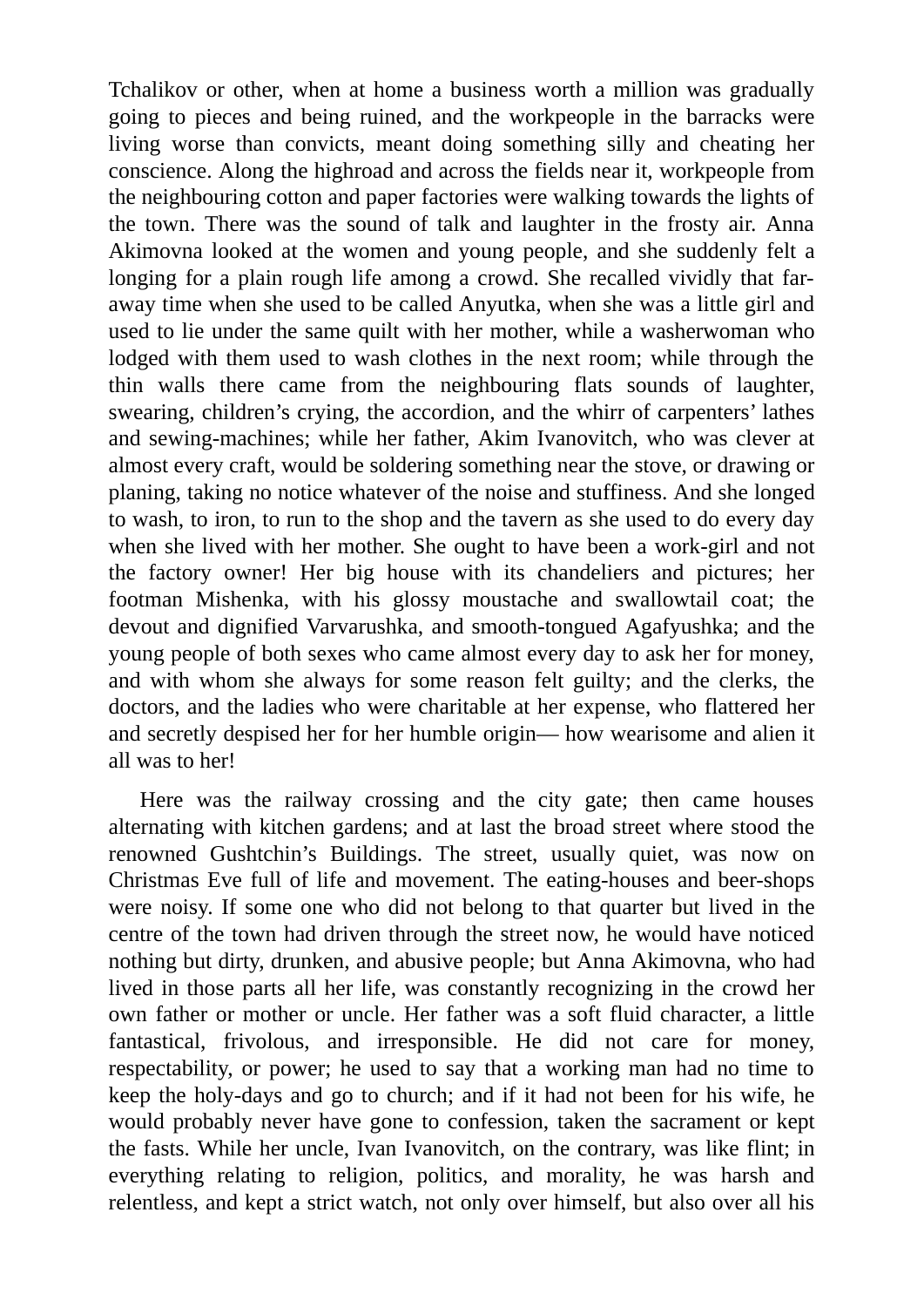Tchalikov or other, when at home a business worth a million was gradually going to pieces and being ruined, and the workpeople in the barracks were living worse than convicts, meant doing something silly and cheating her conscience. Along the highroad and across the fields near it, workpeople from the neighbouring cotton and paper factories were walking towards the lights of the town. There was the sound of talk and laughter in the frosty air. Anna Akimovna looked at the women and young people, and she suddenly felt a longing for a plain rough life among a crowd. She recalled vividly that faraway time when she used to be called Anyutka, when she was a little girl and used to lie under the same quilt with her mother, while a washerwoman who lodged with them used to wash clothes in the next room; while through the thin walls there came from the neighbouring flats sounds of laughter, swearing, children's crying, the accordion, and the whirr of carpenters' lathes and sewing-machines; while her father, Akim Ivanovitch, who was clever at almost every craft, would be soldering something near the stove, or drawing or planing, taking no notice whatever of the noise and stuffiness. And she longed to wash, to iron, to run to the shop and the tavern as she used to do every day when she lived with her mother. She ought to have been a work-girl and not the factory owner! Her big house with its chandeliers and pictures; her footman Mishenka, with his glossy moustache and swallowtail coat; the devout and dignified Varvarushka, and smooth-tongued Agafyushka; and the young people of both sexes who came almost every day to ask her for money, and with whom she always for some reason felt guilty; and the clerks, the doctors, and the ladies who were charitable at her expense, who flattered her and secretly despised her for her humble origin— how wearisome and alien it all was to her!

Here was the railway crossing and the city gate; then came houses alternating with kitchen gardens; and at last the broad street where stood the renowned Gushtchin's Buildings. The street, usually quiet, was now on Christmas Eve full of life and movement. The eating-houses and beer-shops were noisy. If some one who did not belong to that quarter but lived in the centre of the town had driven through the street now, he would have noticed nothing but dirty, drunken, and abusive people; but Anna Akimovna, who had lived in those parts all her life, was constantly recognizing in the crowd her own father or mother or uncle. Her father was a soft fluid character, a little fantastical, frivolous, and irresponsible. He did not care for money, respectability, or power; he used to say that a working man had no time to keep the holy-days and go to church; and if it had not been for his wife, he would probably never have gone to confession, taken the sacrament or kept the fasts. While her uncle, Ivan Ivanovitch, on the contrary, was like flint; in everything relating to religion, politics, and morality, he was harsh and relentless, and kept a strict watch, not only over himself, but also over all his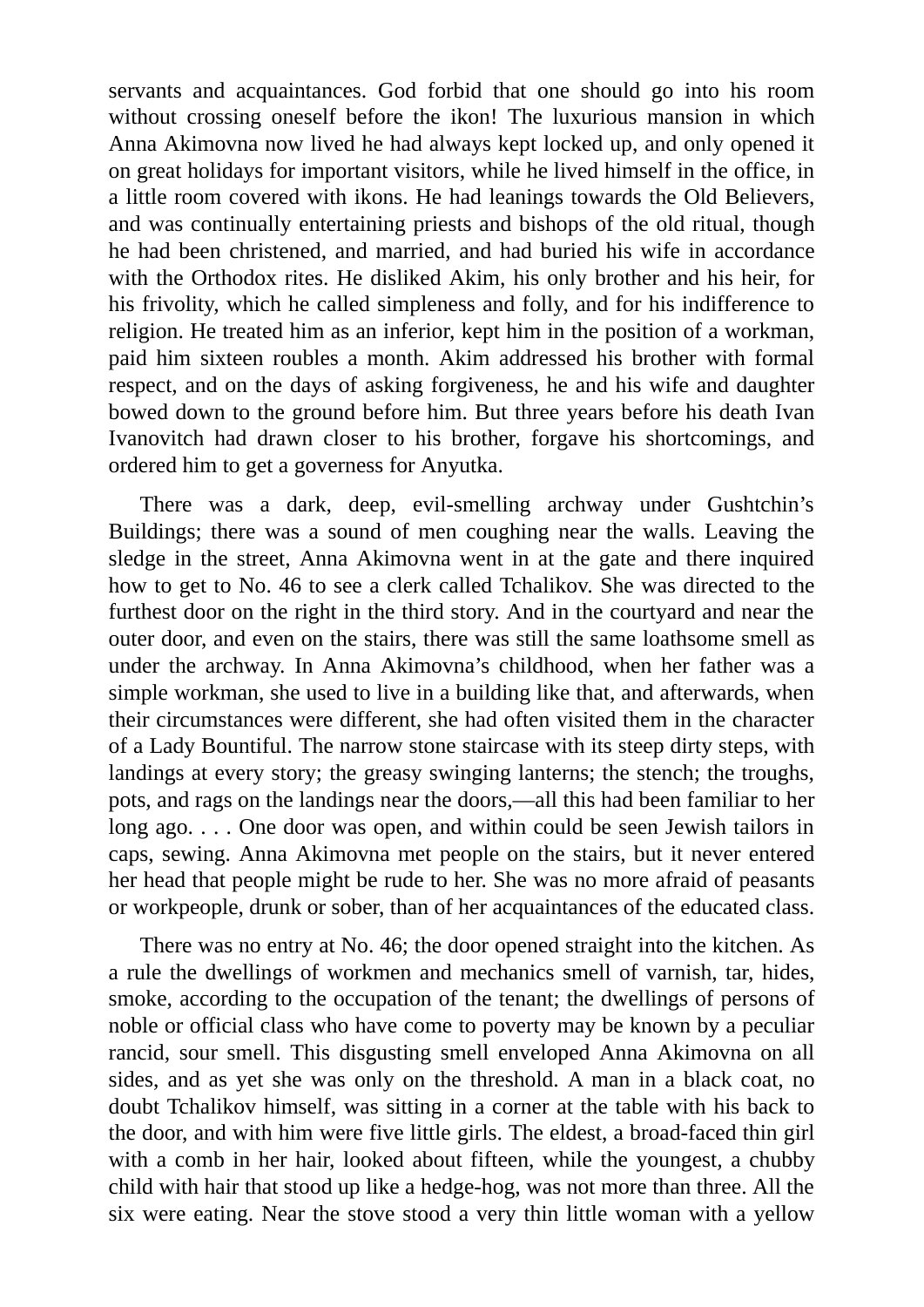servants and acquaintances. God forbid that one should go into his room without crossing oneself before the ikon! The luxurious mansion in which Anna Akimovna now lived he had always kept locked up, and only opened it on great holidays for important visitors, while he lived himself in the office, in a little room covered with ikons. He had leanings towards the Old Believers, and was continually entertaining priests and bishops of the old ritual, though he had been christened, and married, and had buried his wife in accordance with the Orthodox rites. He disliked Akim, his only brother and his heir, for his frivolity, which he called simpleness and folly, and for his indifference to religion. He treated him as an inferior, kept him in the position of a workman, paid him sixteen roubles a month. Akim addressed his brother with formal respect, and on the days of asking forgiveness, he and his wife and daughter bowed down to the ground before him. But three years before his death Ivan Ivanovitch had drawn closer to his brother, forgave his shortcomings, and ordered him to get a governess for Anyutka.

There was a dark, deep, evil-smelling archway under Gushtchin's Buildings; there was a sound of men coughing near the walls. Leaving the sledge in the street, Anna Akimovna went in at the gate and there inquired how to get to No. 46 to see a clerk called Tchalikov. She was directed to the furthest door on the right in the third story. And in the courtyard and near the outer door, and even on the stairs, there was still the same loathsome smell as under the archway. In Anna Akimovna's childhood, when her father was a simple workman, she used to live in a building like that, and afterwards, when their circumstances were different, she had often visited them in the character of a Lady Bountiful. The narrow stone staircase with its steep dirty steps, with landings at every story; the greasy swinging lanterns; the stench; the troughs, pots, and rags on the landings near the doors,—all this had been familiar to her long ago. . . . One door was open, and within could be seen Jewish tailors in caps, sewing. Anna Akimovna met people on the stairs, but it never entered her head that people might be rude to her. She was no more afraid of peasants or workpeople, drunk or sober, than of her acquaintances of the educated class.

There was no entry at No. 46; the door opened straight into the kitchen. As a rule the dwellings of workmen and mechanics smell of varnish, tar, hides, smoke, according to the occupation of the tenant; the dwellings of persons of noble or official class who have come to poverty may be known by a peculiar rancid, sour smell. This disgusting smell enveloped Anna Akimovna on all sides, and as yet she was only on the threshold. A man in a black coat, no doubt Tchalikov himself, was sitting in a corner at the table with his back to the door, and with him were five little girls. The eldest, a broad-faced thin girl with a comb in her hair, looked about fifteen, while the youngest, a chubby child with hair that stood up like a hedge-hog, was not more than three. All the six were eating. Near the stove stood a very thin little woman with a yellow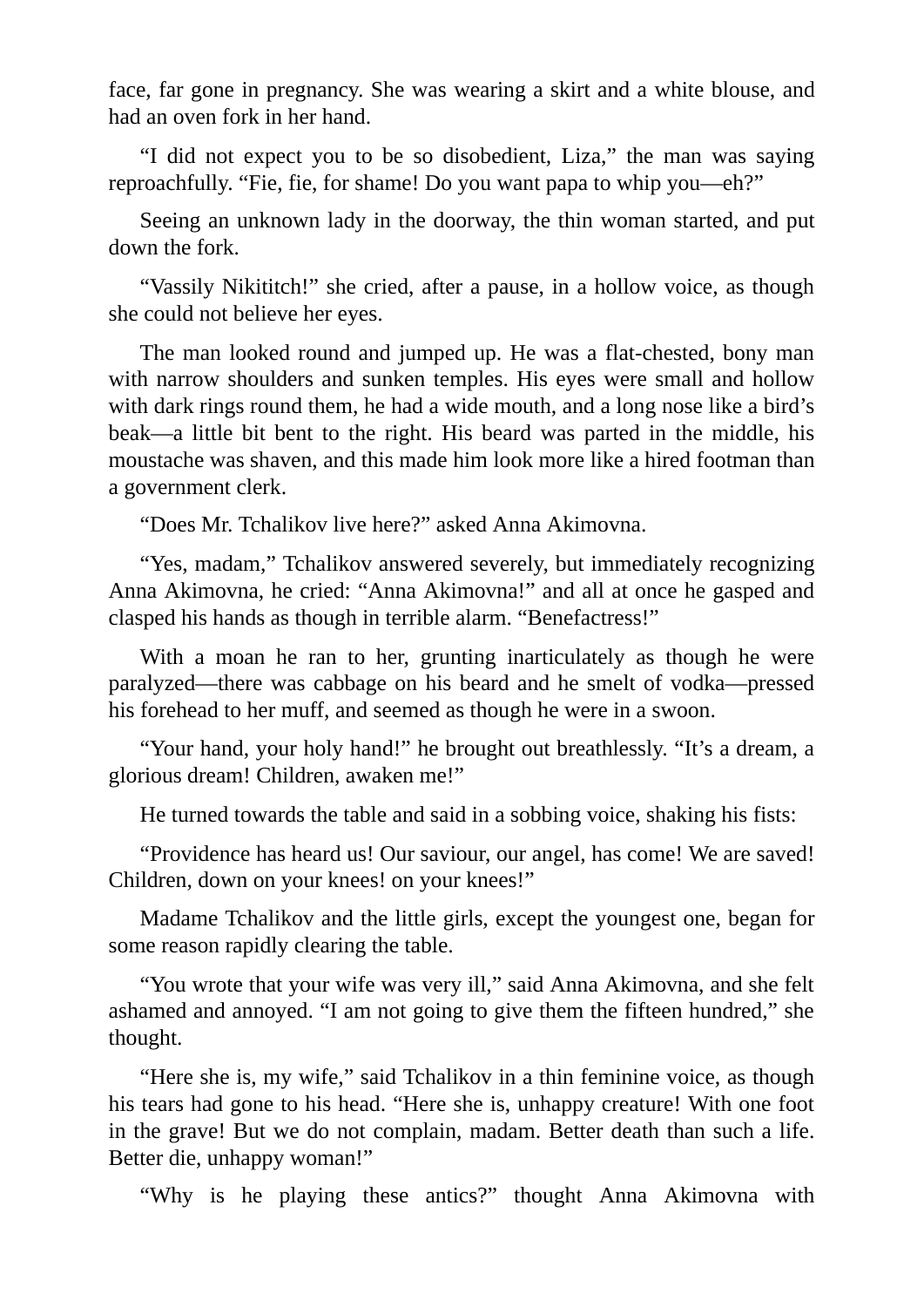face, far gone in pregnancy. She was wearing a skirt and a white blouse, and had an oven fork in her hand.

"I did not expect you to be so disobedient, Liza," the man was saying reproachfully. "Fie, fie, for shame! Do you want papa to whip you—eh?"

Seeing an unknown lady in the doorway, the thin woman started, and put down the fork.

"Vassily Nikititch!" she cried, after a pause, in a hollow voice, as though she could not believe her eyes.

The man looked round and jumped up. He was a flat-chested, bony man with narrow shoulders and sunken temples. His eyes were small and hollow with dark rings round them, he had a wide mouth, and a long nose like a bird's beak—a little bit bent to the right. His beard was parted in the middle, his moustache was shaven, and this made him look more like a hired footman than a government clerk.

"Does Mr. Tchalikov live here?" asked Anna Akimovna.

"Yes, madam," Tchalikov answered severely, but immediately recognizing Anna Akimovna, he cried: "Anna Akimovna!" and all at once he gasped and clasped his hands as though in terrible alarm. "Benefactress!"

With a moan he ran to her, grunting inarticulately as though he were paralyzed—there was cabbage on his beard and he smelt of vodka—pressed his forehead to her muff, and seemed as though he were in a swoon.

"Your hand, your holy hand!" he brought out breathlessly. "It's a dream, a glorious dream! Children, awaken me!"

He turned towards the table and said in a sobbing voice, shaking his fists:

"Providence has heard us! Our saviour, our angel, has come! We are saved! Children, down on your knees! on your knees!"

Madame Tchalikov and the little girls, except the youngest one, began for some reason rapidly clearing the table.

"You wrote that your wife was very ill," said Anna Akimovna, and she felt ashamed and annoyed. "I am not going to give them the fifteen hundred," she thought.

"Here she is, my wife," said Tchalikov in a thin feminine voice, as though his tears had gone to his head. "Here she is, unhappy creature! With one foot in the grave! But we do not complain, madam. Better death than such a life. Better die, unhappy woman!"

"Why is he playing these antics?" thought Anna Akimovna with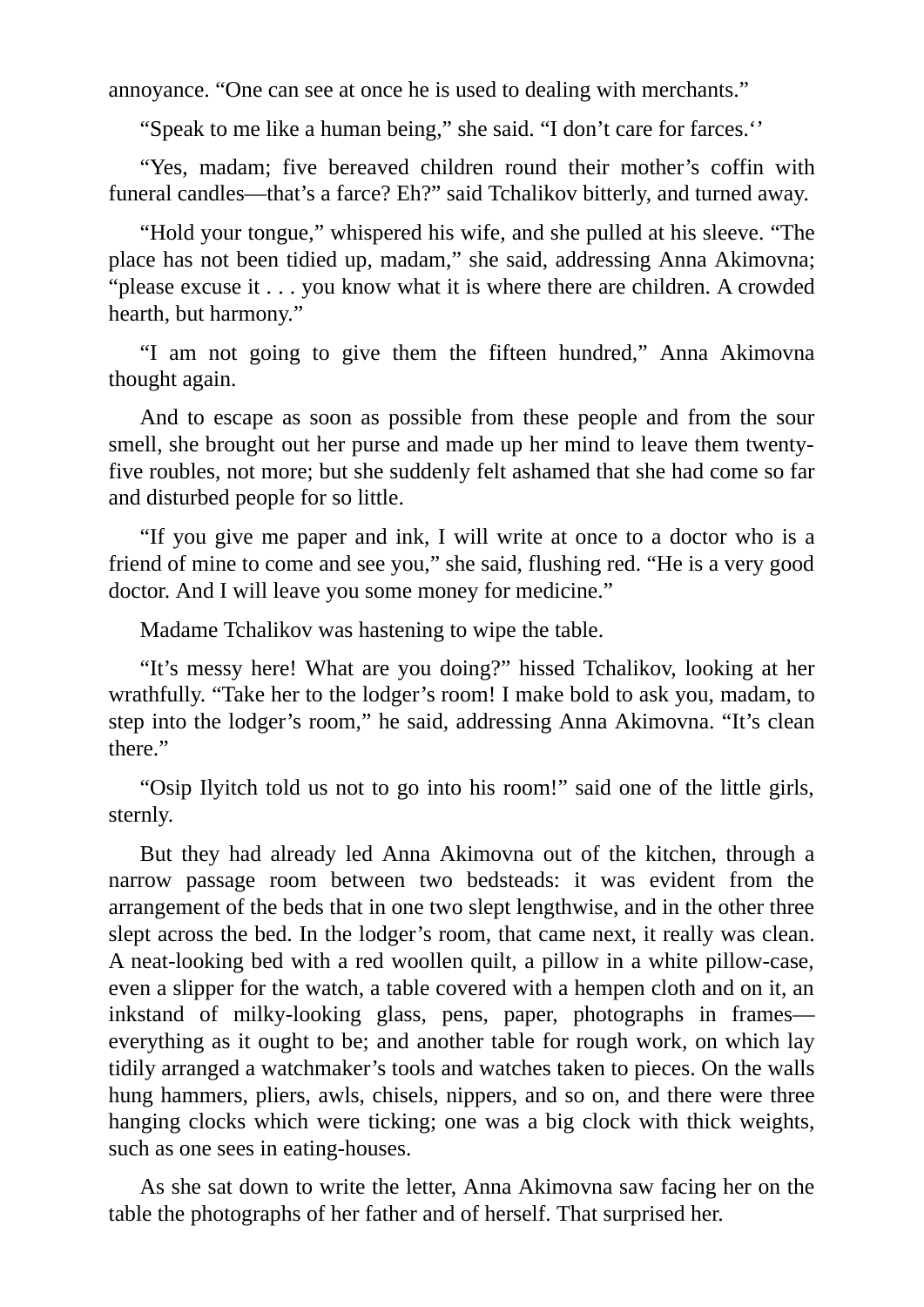annoyance. "One can see at once he is used to dealing with merchants."

"Speak to me like a human being," she said. "I don't care for farces.''

"Yes, madam; five bereaved children round their mother's coffin with funeral candles—that's a farce? Eh?" said Tchalikov bitterly, and turned away.

"Hold your tongue," whispered his wife, and she pulled at his sleeve. "The place has not been tidied up, madam," she said, addressing Anna Akimovna; "please excuse it . . . you know what it is where there are children. A crowded hearth, but harmony."

"I am not going to give them the fifteen hundred," Anna Akimovna thought again.

And to escape as soon as possible from these people and from the sour smell, she brought out her purse and made up her mind to leave them twentyfive roubles, not more; but she suddenly felt ashamed that she had come so far and disturbed people for so little.

"If you give me paper and ink, I will write at once to a doctor who is a friend of mine to come and see you," she said, flushing red. "He is a very good doctor. And I will leave you some money for medicine."

Madame Tchalikov was hastening to wipe the table.

"It's messy here! What are you doing?" hissed Tchalikov, looking at her wrathfully. "Take her to the lodger's room! I make bold to ask you, madam, to step into the lodger's room," he said, addressing Anna Akimovna. "It's clean there."

"Osip Ilyitch told us not to go into his room!" said one of the little girls, sternly.

But they had already led Anna Akimovna out of the kitchen, through a narrow passage room between two bedsteads: it was evident from the arrangement of the beds that in one two slept lengthwise, and in the other three slept across the bed. In the lodger's room, that came next, it really was clean. A neat-looking bed with a red woollen quilt, a pillow in a white pillow-case, even a slipper for the watch, a table covered with a hempen cloth and on it, an inkstand of milky-looking glass, pens, paper, photographs in frames everything as it ought to be; and another table for rough work, on which lay tidily arranged a watchmaker's tools and watches taken to pieces. On the walls hung hammers, pliers, awls, chisels, nippers, and so on, and there were three hanging clocks which were ticking; one was a big clock with thick weights, such as one sees in eating-houses.

As she sat down to write the letter, Anna Akimovna saw facing her on the table the photographs of her father and of herself. That surprised her.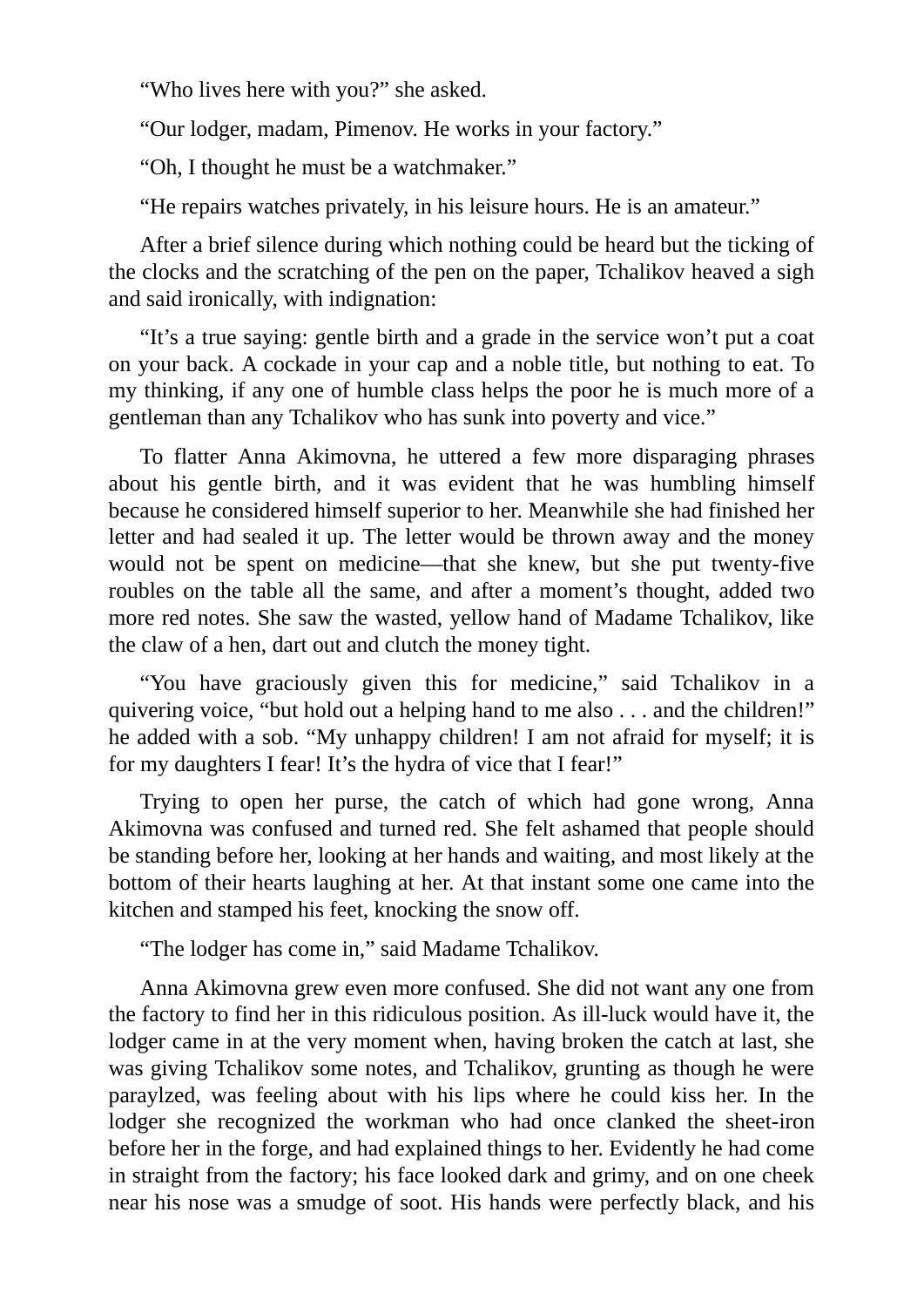"Who lives here with you?" she asked.

"Our lodger, madam, Pimenov. He works in your factory."

"Oh, I thought he must be a watchmaker."

"He repairs watches privately, in his leisure hours. He is an amateur."

After a brief silence during which nothing could be heard but the ticking of the clocks and the scratching of the pen on the paper, Tchalikov heaved a sigh and said ironically, with indignation:

"It's a true saying: gentle birth and a grade in the service won't put a coat on your back. A cockade in your cap and a noble title, but nothing to eat. To my thinking, if any one of humble class helps the poor he is much more of a gentleman than any Tchalikov who has sunk into poverty and vice."

To flatter Anna Akimovna, he uttered a few more disparaging phrases about his gentle birth, and it was evident that he was humbling himself because he considered himself superior to her. Meanwhile she had finished her letter and had sealed it up. The letter would be thrown away and the money would not be spent on medicine—that she knew, but she put twenty-five roubles on the table all the same, and after a moment's thought, added two more red notes. She saw the wasted, yellow hand of Madame Tchalikov, like the claw of a hen, dart out and clutch the money tight.

"You have graciously given this for medicine," said Tchalikov in a quivering voice, "but hold out a helping hand to me also . . . and the children!" he added with a sob. "My unhappy children! I am not afraid for myself; it is for my daughters I fear! It's the hydra of vice that I fear!"

Trying to open her purse, the catch of which had gone wrong, Anna Akimovna was confused and turned red. She felt ashamed that people should be standing before her, looking at her hands and waiting, and most likely at the bottom of their hearts laughing at her. At that instant some one came into the kitchen and stamped his feet, knocking the snow off.

"The lodger has come in," said Madame Tchalikov.

Anna Akimovna grew even more confused. She did not want any one from the factory to find her in this ridiculous position. As ill-luck would have it, the lodger came in at the very moment when, having broken the catch at last, she was giving Tchalikov some notes, and Tchalikov, grunting as though he were paraylzed, was feeling about with his lips where he could kiss her. In the lodger she recognized the workman who had once clanked the sheet-iron before her in the forge, and had explained things to her. Evidently he had come in straight from the factory; his face looked dark and grimy, and on one cheek near his nose was a smudge of soot. His hands were perfectly black, and his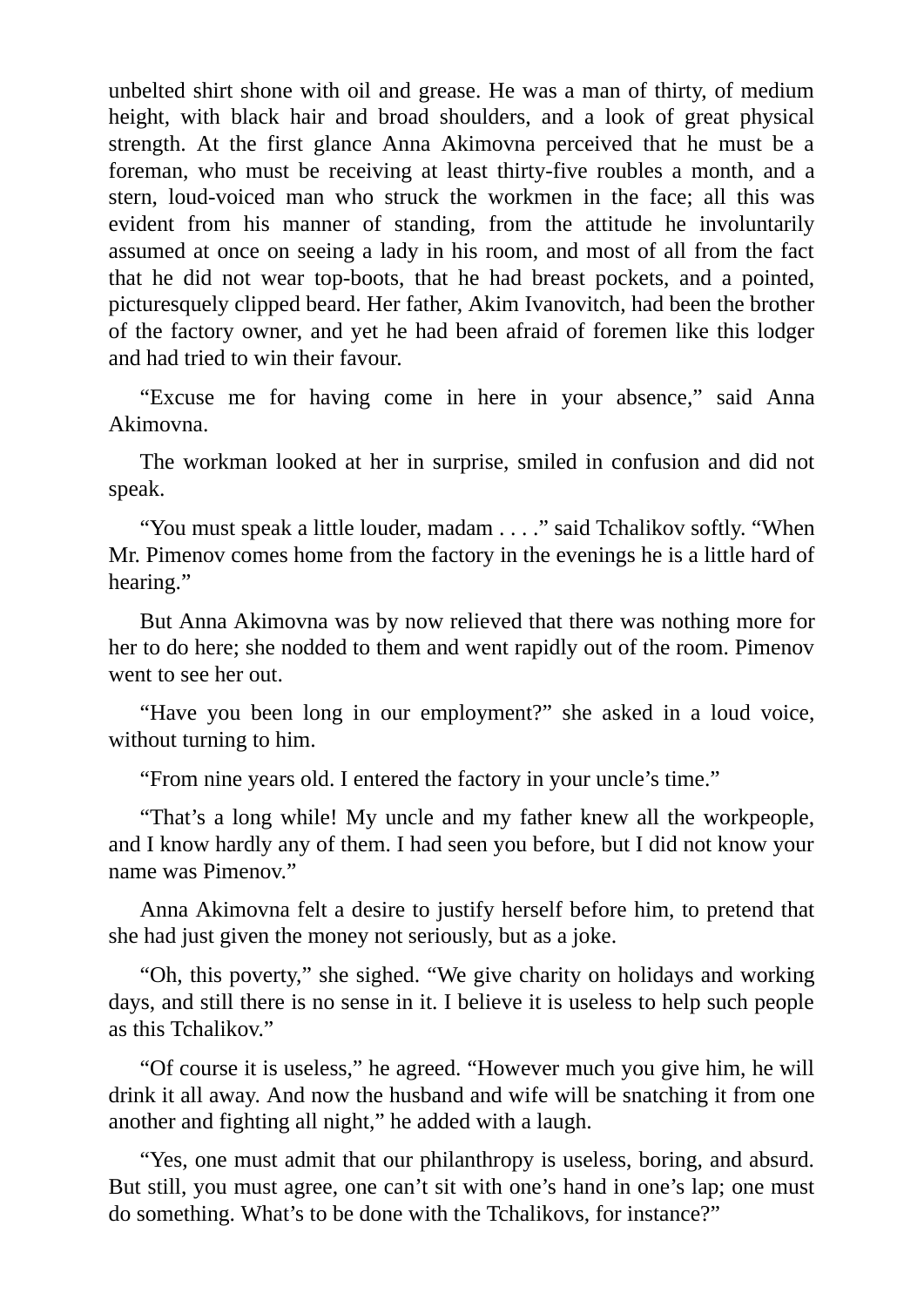unbelted shirt shone with oil and grease. He was a man of thirty, of medium height, with black hair and broad shoulders, and a look of great physical strength. At the first glance Anna Akimovna perceived that he must be a foreman, who must be receiving at least thirty-five roubles a month, and a stern, loud-voiced man who struck the workmen in the face; all this was evident from his manner of standing, from the attitude he involuntarily assumed at once on seeing a lady in his room, and most of all from the fact that he did not wear top-boots, that he had breast pockets, and a pointed, picturesquely clipped beard. Her father, Akim Ivanovitch, had been the brother of the factory owner, and yet he had been afraid of foremen like this lodger and had tried to win their favour.

"Excuse me for having come in here in your absence," said Anna Akimovna.

The workman looked at her in surprise, smiled in confusion and did not speak.

"You must speak a little louder, madam . . . ." said Tchalikov softly. "When Mr. Pimenov comes home from the factory in the evenings he is a little hard of hearing."

But Anna Akimovna was by now relieved that there was nothing more for her to do here; she nodded to them and went rapidly out of the room. Pimenov went to see her out.

"Have you been long in our employment?" she asked in a loud voice, without turning to him.

"From nine years old. I entered the factory in your uncle's time."

"That's a long while! My uncle and my father knew all the workpeople, and I know hardly any of them. I had seen you before, but I did not know your name was Pimenov."

Anna Akimovna felt a desire to justify herself before him, to pretend that she had just given the money not seriously, but as a joke.

"Oh, this poverty," she sighed. "We give charity on holidays and working days, and still there is no sense in it. I believe it is useless to help such people as this Tchalikov."

"Of course it is useless," he agreed. "However much you give him, he will drink it all away. And now the husband and wife will be snatching it from one another and fighting all night," he added with a laugh.

"Yes, one must admit that our philanthropy is useless, boring, and absurd. But still, you must agree, one can't sit with one's hand in one's lap; one must do something. What's to be done with the Tchalikovs, for instance?"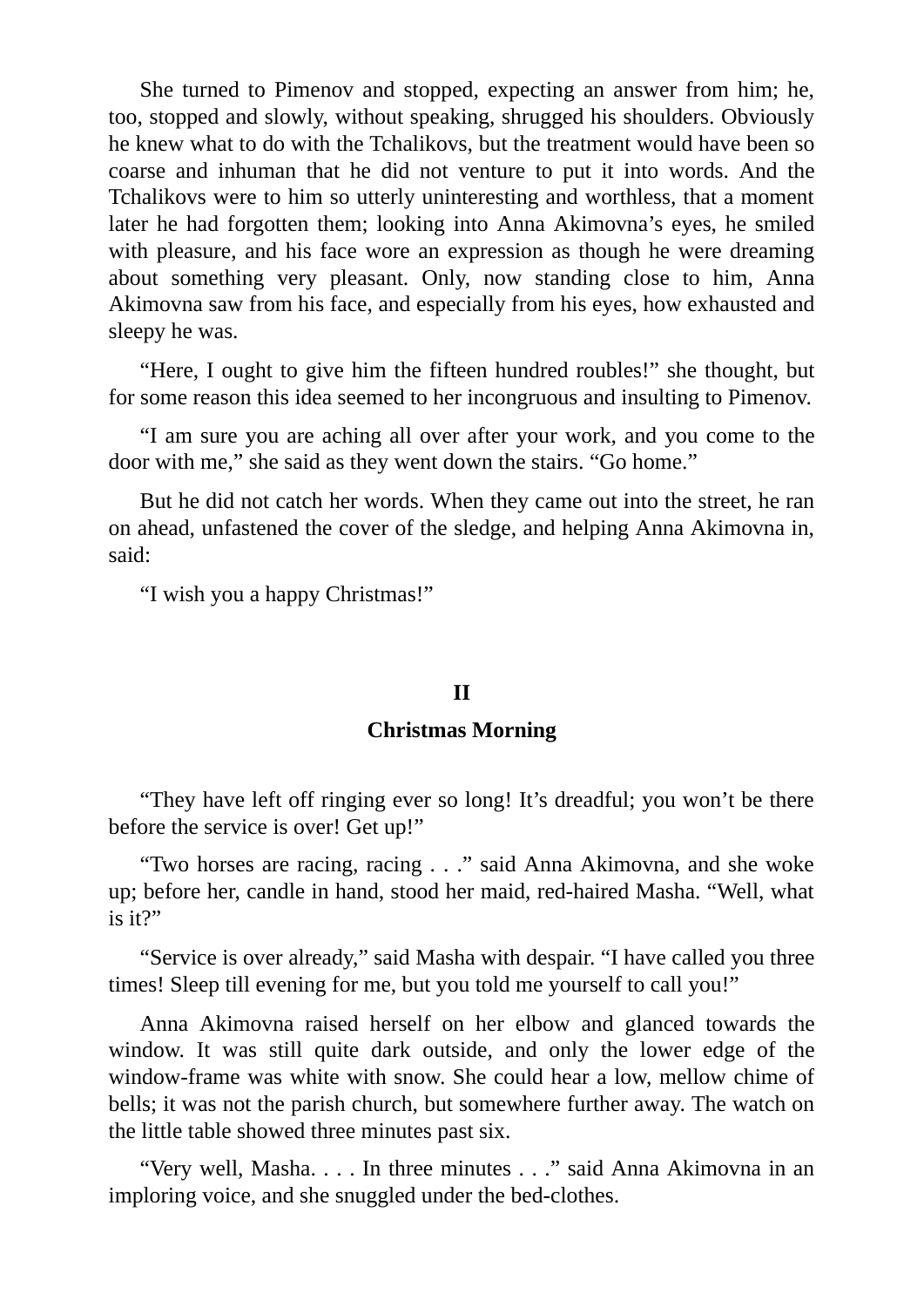She turned to Pimenov and stopped, expecting an answer from him; he, too, stopped and slowly, without speaking, shrugged his shoulders. Obviously he knew what to do with the Tchalikovs, but the treatment would have been so coarse and inhuman that he did not venture to put it into words. And the Tchalikovs were to him so utterly uninteresting and worthless, that a moment later he had forgotten them; looking into Anna Akimovna's eyes, he smiled with pleasure, and his face wore an expression as though he were dreaming about something very pleasant. Only, now standing close to him, Anna Akimovna saw from his face, and especially from his eyes, how exhausted and sleepy he was.

"Here, I ought to give him the fifteen hundred roubles!" she thought, but for some reason this idea seemed to her incongruous and insulting to Pimenov.

"I am sure you are aching all over after your work, and you come to the door with me," she said as they went down the stairs. "Go home."

But he did not catch her words. When they came out into the street, he ran on ahead, unfastened the cover of the sledge, and helping Anna Akimovna in, said:

"I wish you a happy Christmas!"

#### **II**

# **Christmas Morning**

"They have left off ringing ever so long! It's dreadful; you won't be there before the service is over! Get up!"

"Two horses are racing, racing . . ." said Anna Akimovna, and she woke up; before her, candle in hand, stood her maid, red-haired Masha. "Well, what is it?"

"Service is over already," said Masha with despair. "I have called you three times! Sleep till evening for me, but you told me yourself to call you!"

Anna Akimovna raised herself on her elbow and glanced towards the window. It was still quite dark outside, and only the lower edge of the window-frame was white with snow. She could hear a low, mellow chime of bells; it was not the parish church, but somewhere further away. The watch on the little table showed three minutes past six.

"Very well, Masha. . . . In three minutes . . ." said Anna Akimovna in an imploring voice, and she snuggled under the bed-clothes.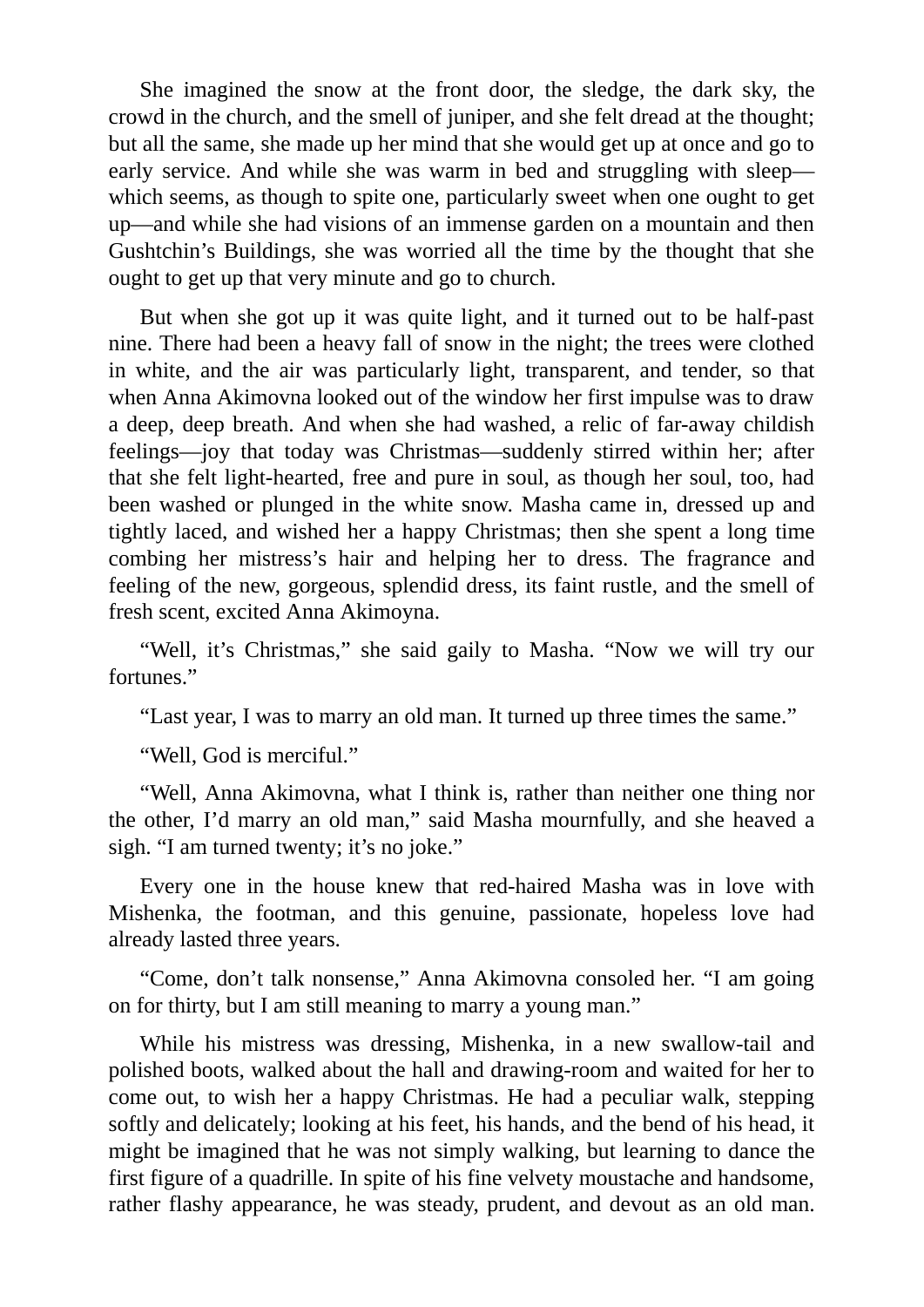She imagined the snow at the front door, the sledge, the dark sky, the crowd in the church, and the smell of juniper, and she felt dread at the thought; but all the same, she made up her mind that she would get up at once and go to early service. And while she was warm in bed and struggling with sleep which seems, as though to spite one, particularly sweet when one ought to get up—and while she had visions of an immense garden on a mountain and then Gushtchin's Buildings, she was worried all the time by the thought that she ought to get up that very minute and go to church.

But when she got up it was quite light, and it turned out to be half-past nine. There had been a heavy fall of snow in the night; the trees were clothed in white, and the air was particularly light, transparent, and tender, so that when Anna Akimovna looked out of the window her first impulse was to draw a deep, deep breath. And when she had washed, a relic of far-away childish feelings—joy that today was Christmas—suddenly stirred within her; after that she felt light-hearted, free and pure in soul, as though her soul, too, had been washed or plunged in the white snow. Masha came in, dressed up and tightly laced, and wished her a happy Christmas; then she spent a long time combing her mistress's hair and helping her to dress. The fragrance and feeling of the new, gorgeous, splendid dress, its faint rustle, and the smell of fresh scent, excited Anna Akimoyna.

"Well, it's Christmas," she said gaily to Masha. "Now we will try our fortunes."

"Last year, I was to marry an old man. It turned up three times the same."

"Well, God is merciful."

"Well, Anna Akimovna, what I think is, rather than neither one thing nor the other, I'd marry an old man," said Masha mournfully, and she heaved a sigh. "I am turned twenty; it's no joke."

Every one in the house knew that red-haired Masha was in love with Mishenka, the footman, and this genuine, passionate, hopeless love had already lasted three years.

"Come, don't talk nonsense," Anna Akimovna consoled her. "I am going on for thirty, but I am still meaning to marry a young man."

While his mistress was dressing, Mishenka, in a new swallow-tail and polished boots, walked about the hall and drawing-room and waited for her to come out, to wish her a happy Christmas. He had a peculiar walk, stepping softly and delicately; looking at his feet, his hands, and the bend of his head, it might be imagined that he was not simply walking, but learning to dance the first figure of a quadrille. In spite of his fine velvety moustache and handsome, rather flashy appearance, he was steady, prudent, and devout as an old man.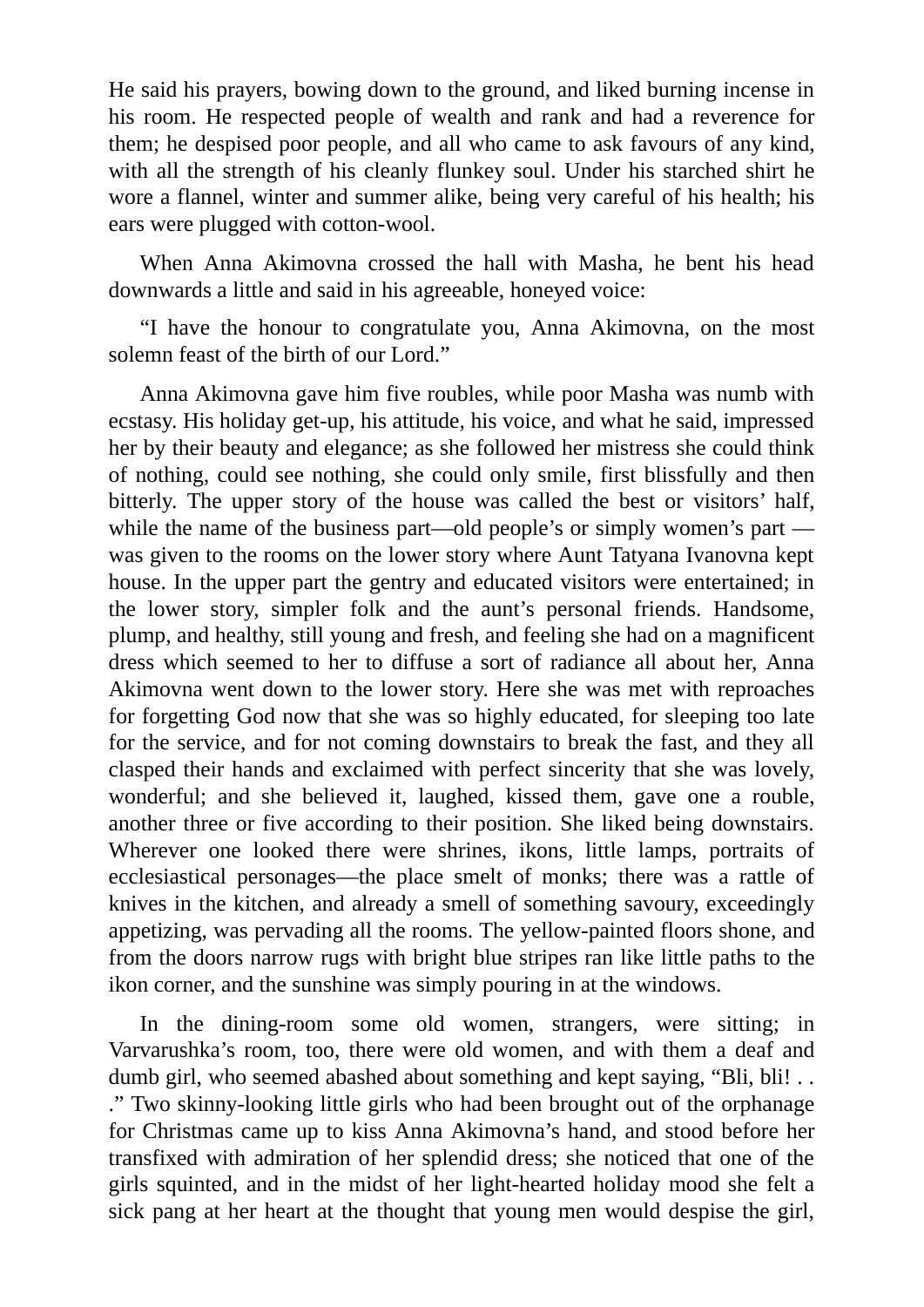He said his prayers, bowing down to the ground, and liked burning incense in his room. He respected people of wealth and rank and had a reverence for them; he despised poor people, and all who came to ask favours of any kind, with all the strength of his cleanly flunkey soul. Under his starched shirt he wore a flannel, winter and summer alike, being very careful of his health; his ears were plugged with cotton-wool.

When Anna Akimovna crossed the hall with Masha, he bent his head downwards a little and said in his agreeable, honeyed voice:

"I have the honour to congratulate you, Anna Akimovna, on the most solemn feast of the birth of our Lord."

Anna Akimovna gave him five roubles, while poor Masha was numb with ecstasy. His holiday get-up, his attitude, his voice, and what he said, impressed her by their beauty and elegance; as she followed her mistress she could think of nothing, could see nothing, she could only smile, first blissfully and then bitterly. The upper story of the house was called the best or visitors' half, while the name of the business part—old people's or simply women's part was given to the rooms on the lower story where Aunt Tatyana Ivanovna kept house. In the upper part the gentry and educated visitors were entertained; in the lower story, simpler folk and the aunt's personal friends. Handsome, plump, and healthy, still young and fresh, and feeling she had on a magnificent dress which seemed to her to diffuse a sort of radiance all about her, Anna Akimovna went down to the lower story. Here she was met with reproaches for forgetting God now that she was so highly educated, for sleeping too late for the service, and for not coming downstairs to break the fast, and they all clasped their hands and exclaimed with perfect sincerity that she was lovely, wonderful; and she believed it, laughed, kissed them, gave one a rouble, another three or five according to their position. She liked being downstairs. Wherever one looked there were shrines, ikons, little lamps, portraits of ecclesiastical personages—the place smelt of monks; there was a rattle of knives in the kitchen, and already a smell of something savoury, exceedingly appetizing, was pervading all the rooms. The yellow-painted floors shone, and from the doors narrow rugs with bright blue stripes ran like little paths to the ikon corner, and the sunshine was simply pouring in at the windows.

In the dining-room some old women, strangers, were sitting; in Varvarushka's room, too, there were old women, and with them a deaf and dumb girl, who seemed abashed about something and kept saying, "Bli, bli!.. ." Two skinny-looking little girls who had been brought out of the orphanage for Christmas came up to kiss Anna Akimovna's hand, and stood before her transfixed with admiration of her splendid dress; she noticed that one of the girls squinted, and in the midst of her light-hearted holiday mood she felt a sick pang at her heart at the thought that young men would despise the girl,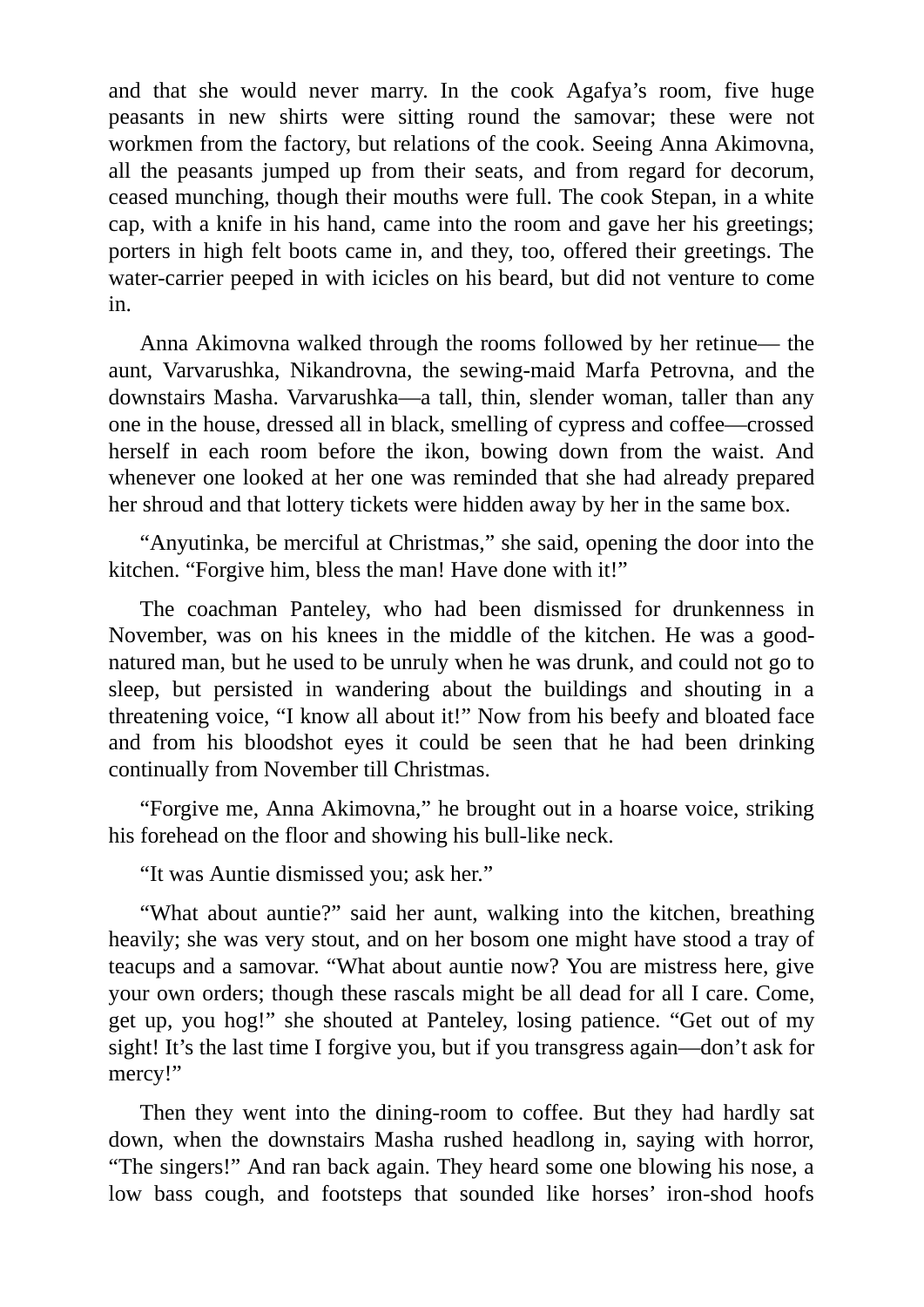and that she would never marry. In the cook Agafya's room, five huge peasants in new shirts were sitting round the samovar; these were not workmen from the factory, but relations of the cook. Seeing Anna Akimovna, all the peasants jumped up from their seats, and from regard for decorum, ceased munching, though their mouths were full. The cook Stepan, in a white cap, with a knife in his hand, came into the room and gave her his greetings; porters in high felt boots came in, and they, too, offered their greetings. The water-carrier peeped in with icicles on his beard, but did not venture to come in.

Anna Akimovna walked through the rooms followed by her retinue— the aunt, Varvarushka, Nikandrovna, the sewing-maid Marfa Petrovna, and the downstairs Masha. Varvarushka—a tall, thin, slender woman, taller than any one in the house, dressed all in black, smelling of cypress and coffee—crossed herself in each room before the ikon, bowing down from the waist. And whenever one looked at her one was reminded that she had already prepared her shroud and that lottery tickets were hidden away by her in the same box.

"Anyutinka, be merciful at Christmas," she said, opening the door into the kitchen. "Forgive him, bless the man! Have done with it!"

The coachman Panteley, who had been dismissed for drunkenness in November, was on his knees in the middle of the kitchen. He was a goodnatured man, but he used to be unruly when he was drunk, and could not go to sleep, but persisted in wandering about the buildings and shouting in a threatening voice, "I know all about it!" Now from his beefy and bloated face and from his bloodshot eyes it could be seen that he had been drinking continually from November till Christmas.

"Forgive me, Anna Akimovna," he brought out in a hoarse voice, striking his forehead on the floor and showing his bull-like neck.

"It was Auntie dismissed you; ask her."

"What about auntie?" said her aunt, walking into the kitchen, breathing heavily; she was very stout, and on her bosom one might have stood a tray of teacups and a samovar. "What about auntie now? You are mistress here, give your own orders; though these rascals might be all dead for all I care. Come, get up, you hog!" she shouted at Panteley, losing patience. "Get out of my sight! It's the last time I forgive you, but if you transgress again—don't ask for mercy!"

Then they went into the dining-room to coffee. But they had hardly sat down, when the downstairs Masha rushed headlong in, saying with horror, "The singers!" And ran back again. They heard some one blowing his nose, a low bass cough, and footsteps that sounded like horses' iron-shod hoofs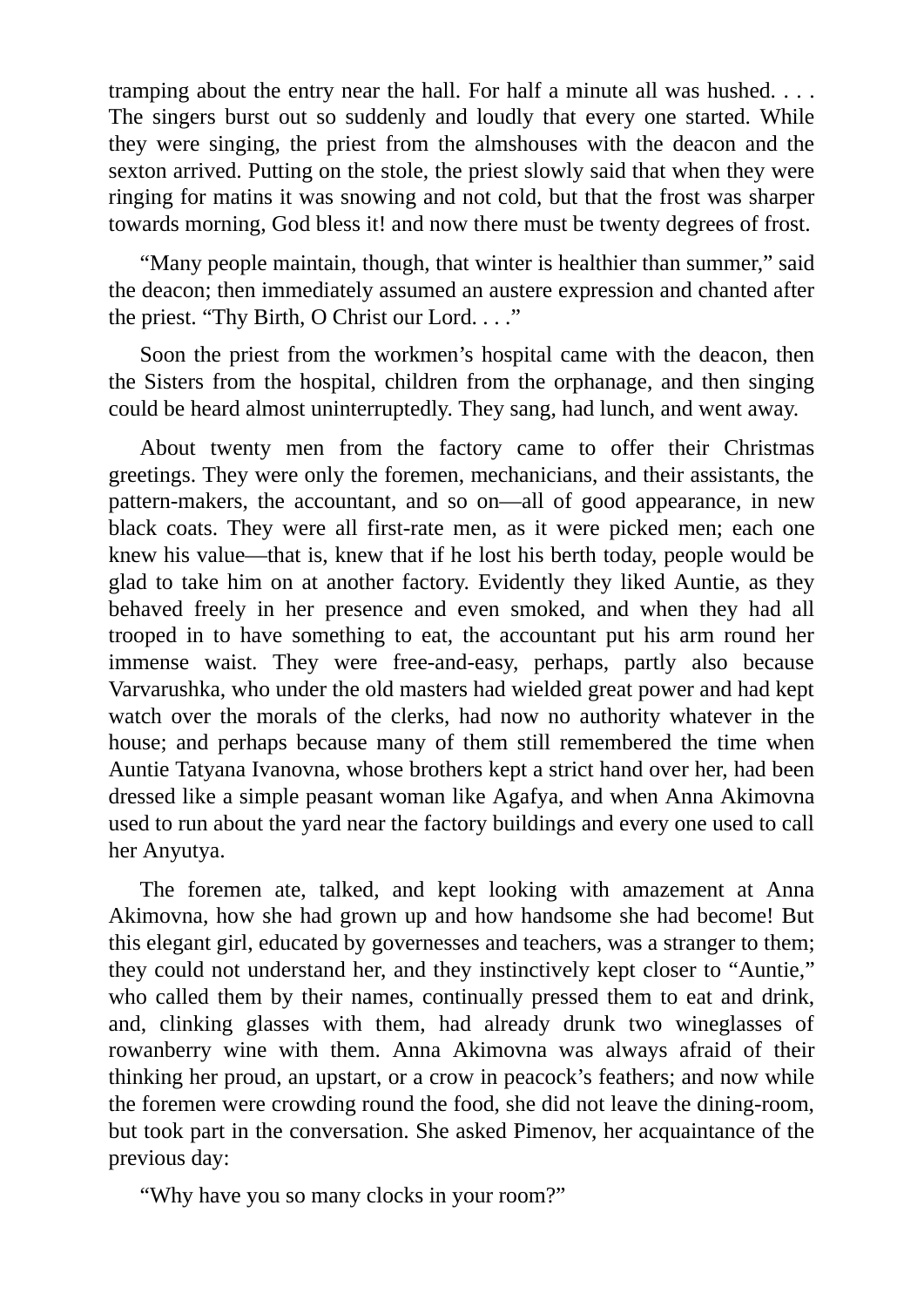tramping about the entry near the hall. For half a minute all was hushed. . . . The singers burst out so suddenly and loudly that every one started. While they were singing, the priest from the almshouses with the deacon and the sexton arrived. Putting on the stole, the priest slowly said that when they were ringing for matins it was snowing and not cold, but that the frost was sharper towards morning, God bless it! and now there must be twenty degrees of frost.

"Many people maintain, though, that winter is healthier than summer," said the deacon; then immediately assumed an austere expression and chanted after the priest. "Thy Birth, O Christ our Lord. . . ."

Soon the priest from the workmen's hospital came with the deacon, then the Sisters from the hospital, children from the orphanage, and then singing could be heard almost uninterruptedly. They sang, had lunch, and went away.

About twenty men from the factory came to offer their Christmas greetings. They were only the foremen, mechanicians, and their assistants, the pattern-makers, the accountant, and so on—all of good appearance, in new black coats. They were all first-rate men, as it were picked men; each one knew his value—that is, knew that if he lost his berth today, people would be glad to take him on at another factory. Evidently they liked Auntie, as they behaved freely in her presence and even smoked, and when they had all trooped in to have something to eat, the accountant put his arm round her immense waist. They were free-and-easy, perhaps, partly also because Varvarushka, who under the old masters had wielded great power and had kept watch over the morals of the clerks, had now no authority whatever in the house; and perhaps because many of them still remembered the time when Auntie Tatyana Ivanovna, whose brothers kept a strict hand over her, had been dressed like a simple peasant woman like Agafya, and when Anna Akimovna used to run about the yard near the factory buildings and every one used to call her Anyutya.

The foremen ate, talked, and kept looking with amazement at Anna Akimovna, how she had grown up and how handsome she had become! But this elegant girl, educated by governesses and teachers, was a stranger to them; they could not understand her, and they instinctively kept closer to "Auntie," who called them by their names, continually pressed them to eat and drink, and, clinking glasses with them, had already drunk two wineglasses of rowanberry wine with them. Anna Akimovna was always afraid of their thinking her proud, an upstart, or a crow in peacock's feathers; and now while the foremen were crowding round the food, she did not leave the dining-room, but took part in the conversation. She asked Pimenov, her acquaintance of the previous day:

"Why have you so many clocks in your room?"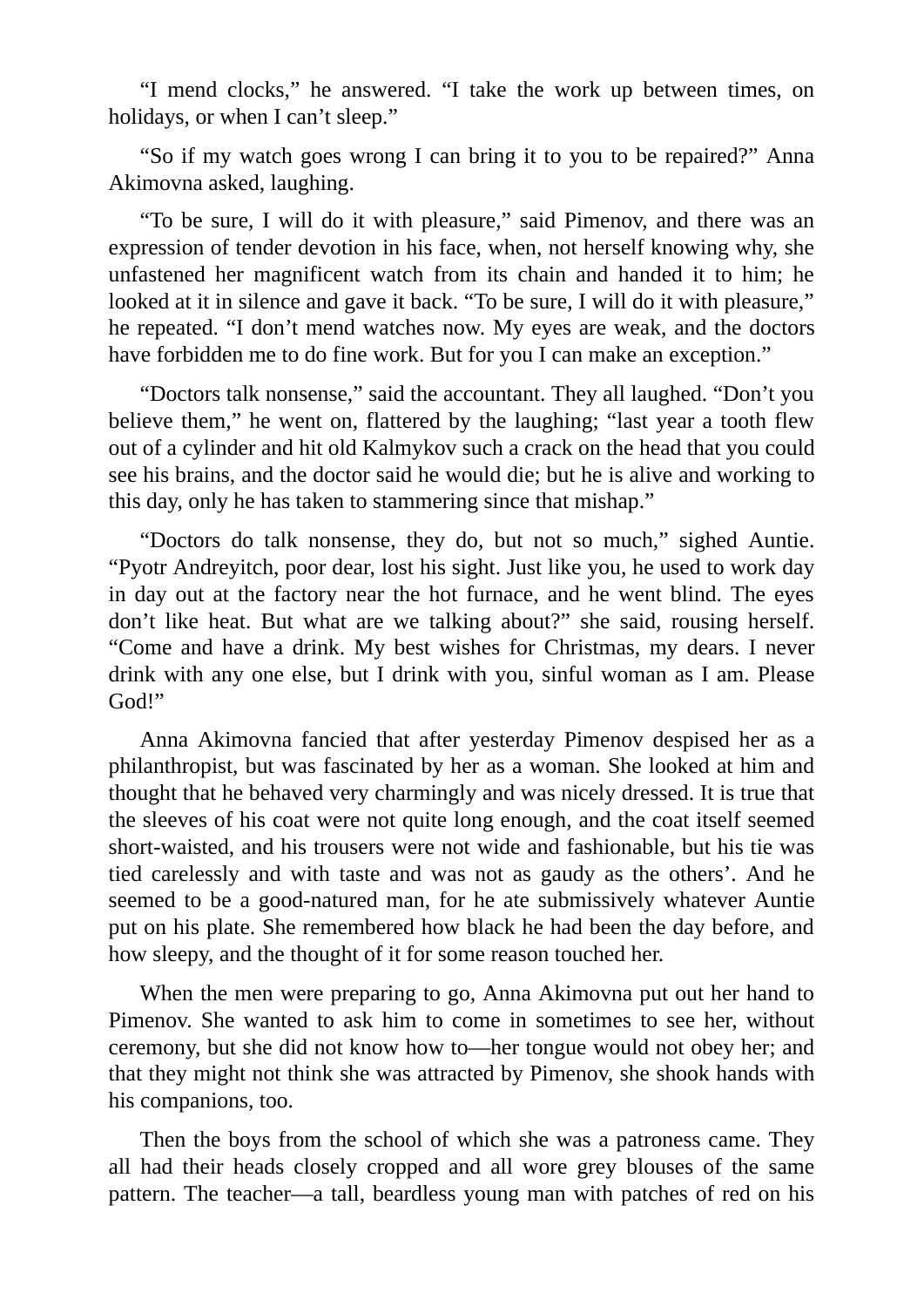"I mend clocks," he answered. "I take the work up between times, on holidays, or when I can't sleep."

"So if my watch goes wrong I can bring it to you to be repaired?" Anna Akimovna asked, laughing.

"To be sure, I will do it with pleasure," said Pimenov, and there was an expression of tender devotion in his face, when, not herself knowing why, she unfastened her magnificent watch from its chain and handed it to him; he looked at it in silence and gave it back. "To be sure, I will do it with pleasure," he repeated. "I don't mend watches now. My eyes are weak, and the doctors have forbidden me to do fine work. But for you I can make an exception."

"Doctors talk nonsense," said the accountant. They all laughed. "Don't you believe them," he went on, flattered by the laughing; "last year a tooth flew out of a cylinder and hit old Kalmykov such a crack on the head that you could see his brains, and the doctor said he would die; but he is alive and working to this day, only he has taken to stammering since that mishap."

"Doctors do talk nonsense, they do, but not so much," sighed Auntie. "Pyotr Andreyitch, poor dear, lost his sight. Just like you, he used to work day in day out at the factory near the hot furnace, and he went blind. The eyes don't like heat. But what are we talking about?" she said, rousing herself. "Come and have a drink. My best wishes for Christmas, my dears. I never drink with any one else, but I drink with you, sinful woman as I am. Please God!"

Anna Akimovna fancied that after yesterday Pimenov despised her as a philanthropist, but was fascinated by her as a woman. She looked at him and thought that he behaved very charmingly and was nicely dressed. It is true that the sleeves of his coat were not quite long enough, and the coat itself seemed short-waisted, and his trousers were not wide and fashionable, but his tie was tied carelessly and with taste and was not as gaudy as the others'. And he seemed to be a good-natured man, for he ate submissively whatever Auntie put on his plate. She remembered how black he had been the day before, and how sleepy, and the thought of it for some reason touched her.

When the men were preparing to go, Anna Akimovna put out her hand to Pimenov. She wanted to ask him to come in sometimes to see her, without ceremony, but she did not know how to—her tongue would not obey her; and that they might not think she was attracted by Pimenov, she shook hands with his companions, too.

Then the boys from the school of which she was a patroness came. They all had their heads closely cropped and all wore grey blouses of the same pattern. The teacher—a tall, beardless young man with patches of red on his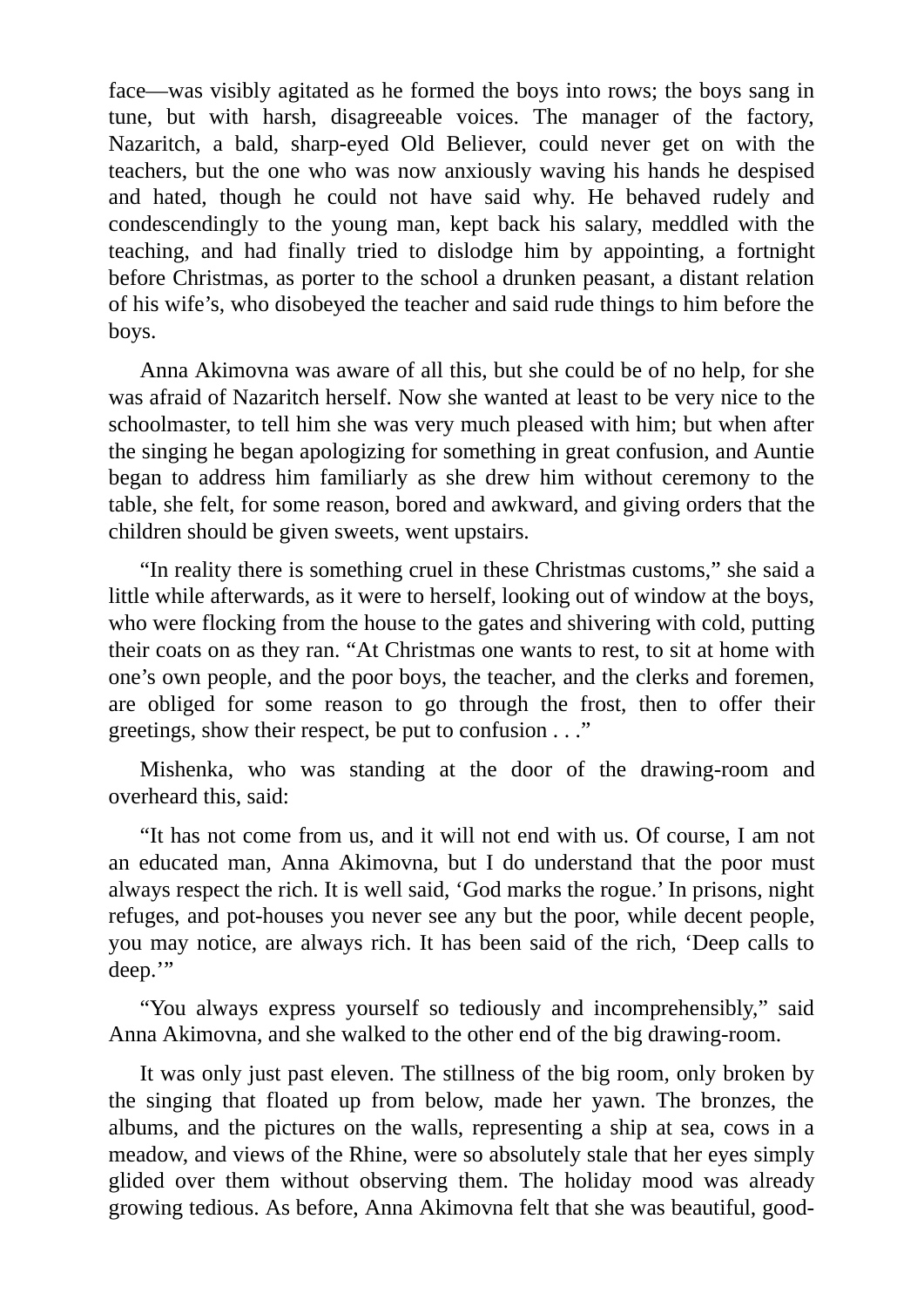face—was visibly agitated as he formed the boys into rows; the boys sang in tune, but with harsh, disagreeable voices. The manager of the factory, Nazaritch, a bald, sharp-eyed Old Believer, could never get on with the teachers, but the one who was now anxiously waving his hands he despised and hated, though he could not have said why. He behaved rudely and condescendingly to the young man, kept back his salary, meddled with the teaching, and had finally tried to dislodge him by appointing, a fortnight before Christmas, as porter to the school a drunken peasant, a distant relation of his wife's, who disobeyed the teacher and said rude things to him before the boys.

Anna Akimovna was aware of all this, but she could be of no help, for she was afraid of Nazaritch herself. Now she wanted at least to be very nice to the schoolmaster, to tell him she was very much pleased with him; but when after the singing he began apologizing for something in great confusion, and Auntie began to address him familiarly as she drew him without ceremony to the table, she felt, for some reason, bored and awkward, and giving orders that the children should be given sweets, went upstairs.

"In reality there is something cruel in these Christmas customs," she said a little while afterwards, as it were to herself, looking out of window at the boys, who were flocking from the house to the gates and shivering with cold, putting their coats on as they ran. "At Christmas one wants to rest, to sit at home with one's own people, and the poor boys, the teacher, and the clerks and foremen, are obliged for some reason to go through the frost, then to offer their greetings, show their respect, be put to confusion . . ."

Mishenka, who was standing at the door of the drawing-room and overheard this, said:

"It has not come from us, and it will not end with us. Of course, I am not an educated man, Anna Akimovna, but I do understand that the poor must always respect the rich. It is well said, 'God marks the rogue.' In prisons, night refuges, and pot-houses you never see any but the poor, while decent people, you may notice, are always rich. It has been said of the rich, 'Deep calls to deep."

"You always express yourself so tediously and incomprehensibly," said Anna Akimovna, and she walked to the other end of the big drawing-room.

It was only just past eleven. The stillness of the big room, only broken by the singing that floated up from below, made her yawn. The bronzes, the albums, and the pictures on the walls, representing a ship at sea, cows in a meadow, and views of the Rhine, were so absolutely stale that her eyes simply glided over them without observing them. The holiday mood was already growing tedious. As before, Anna Akimovna felt that she was beautiful, good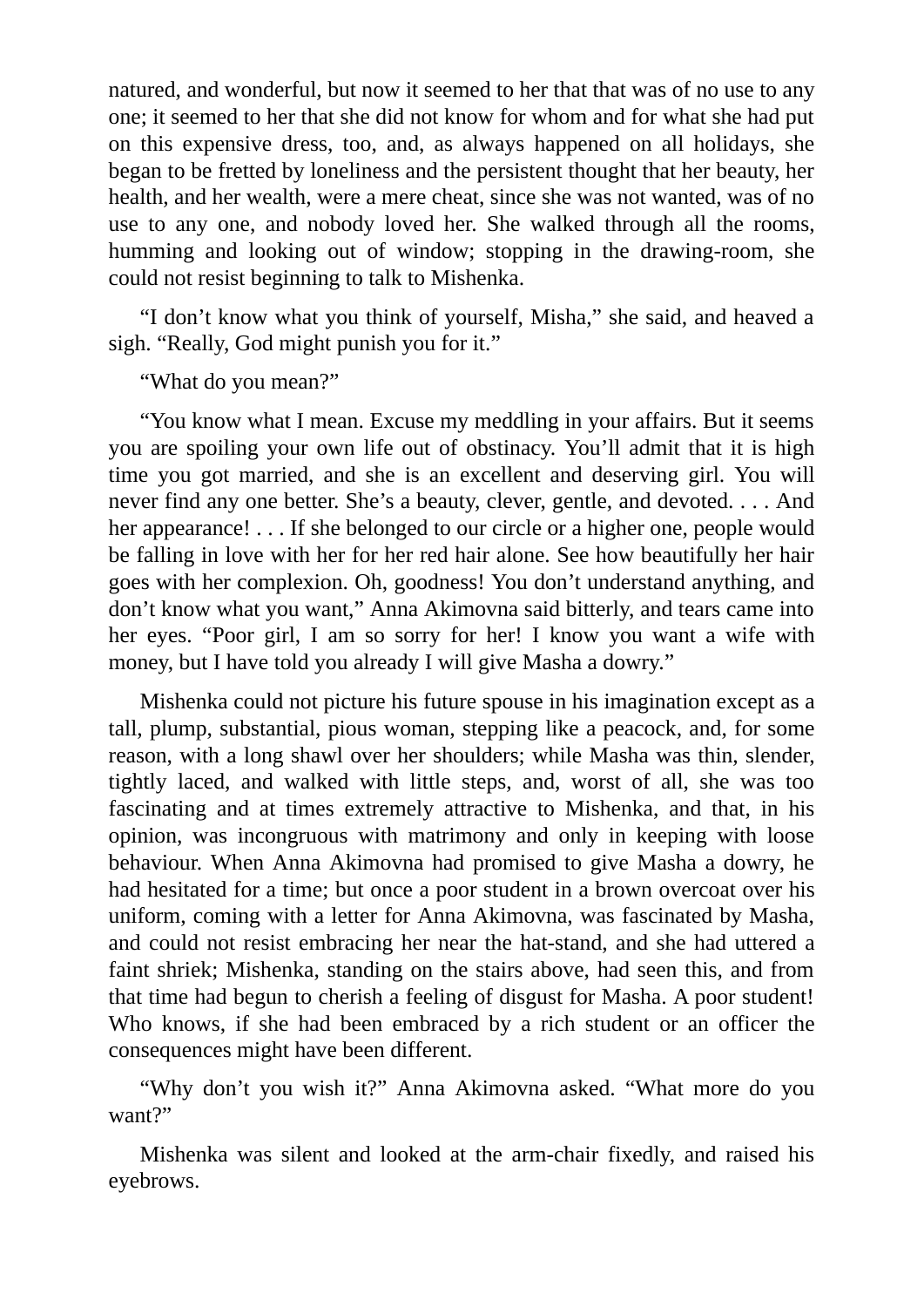natured, and wonderful, but now it seemed to her that that was of no use to any one; it seemed to her that she did not know for whom and for what she had put on this expensive dress, too, and, as always happened on all holidays, she began to be fretted by loneliness and the persistent thought that her beauty, her health, and her wealth, were a mere cheat, since she was not wanted, was of no use to any one, and nobody loved her. She walked through all the rooms, humming and looking out of window; stopping in the drawing-room, she could not resist beginning to talk to Mishenka.

"I don't know what you think of yourself, Misha," she said, and heaved a sigh. "Really, God might punish you for it."

"What do you mean?"

"You know what I mean. Excuse my meddling in your affairs. But it seems you are spoiling your own life out of obstinacy. You'll admit that it is high time you got married, and she is an excellent and deserving girl. You will never find any one better. She's a beauty, clever, gentle, and devoted. . . . And her appearance! . . . If she belonged to our circle or a higher one, people would be falling in love with her for her red hair alone. See how beautifully her hair goes with her complexion. Oh, goodness! You don't understand anything, and don't know what you want," Anna Akimovna said bitterly, and tears came into her eyes. "Poor girl, I am so sorry for her! I know you want a wife with money, but I have told you already I will give Masha a dowry."

Mishenka could not picture his future spouse in his imagination except as a tall, plump, substantial, pious woman, stepping like a peacock, and, for some reason, with a long shawl over her shoulders; while Masha was thin, slender, tightly laced, and walked with little steps, and, worst of all, she was too fascinating and at times extremely attractive to Mishenka, and that, in his opinion, was incongruous with matrimony and only in keeping with loose behaviour. When Anna Akimovna had promised to give Masha a dowry, he had hesitated for a time; but once a poor student in a brown overcoat over his uniform, coming with a letter for Anna Akimovna, was fascinated by Masha, and could not resist embracing her near the hat-stand, and she had uttered a faint shriek; Mishenka, standing on the stairs above, had seen this, and from that time had begun to cherish a feeling of disgust for Masha. A poor student! Who knows, if she had been embraced by a rich student or an officer the consequences might have been different.

"Why don't you wish it?" Anna Akimovna asked. "What more do you want?"

Mishenka was silent and looked at the arm-chair fixedly, and raised his eyebrows.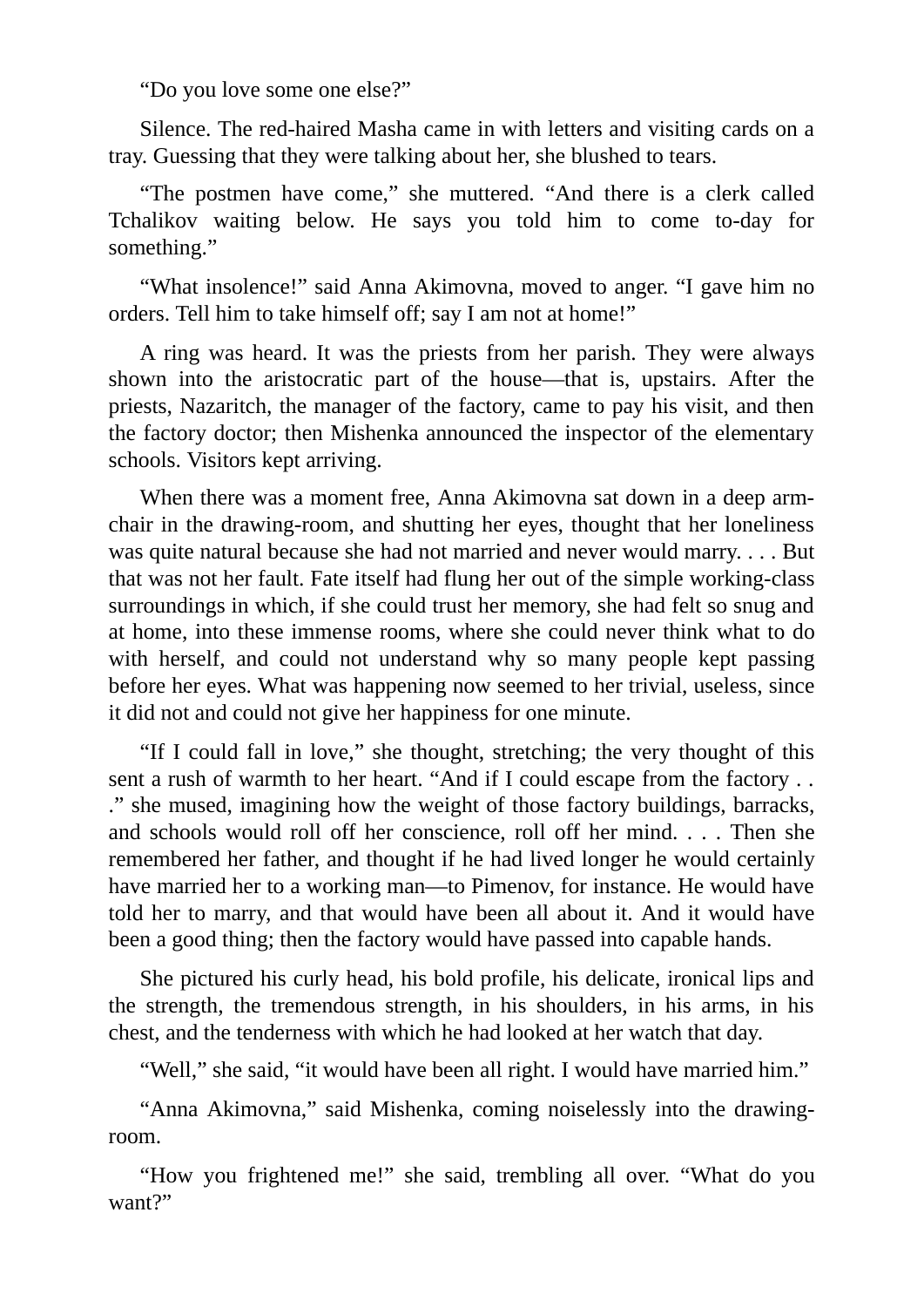"Do you love some one else?"

Silence. The red-haired Masha came in with letters and visiting cards on a tray. Guessing that they were talking about her, she blushed to tears.

"The postmen have come," she muttered. "And there is a clerk called Tchalikov waiting below. He says you told him to come to-day for something."

"What insolence!" said Anna Akimovna, moved to anger. "I gave him no orders. Tell him to take himself off; say I am not at home!"

A ring was heard. It was the priests from her parish. They were always shown into the aristocratic part of the house—that is, upstairs. After the priests, Nazaritch, the manager of the factory, came to pay his visit, and then the factory doctor; then Mishenka announced the inspector of the elementary schools. Visitors kept arriving.

When there was a moment free, Anna Akimovna sat down in a deep armchair in the drawing-room, and shutting her eyes, thought that her loneliness was quite natural because she had not married and never would marry. . . . But that was not her fault. Fate itself had flung her out of the simple working-class surroundings in which, if she could trust her memory, she had felt so snug and at home, into these immense rooms, where she could never think what to do with herself, and could not understand why so many people kept passing before her eyes. What was happening now seemed to her trivial, useless, since it did not and could not give her happiness for one minute.

"If I could fall in love," she thought, stretching; the very thought of this sent a rush of warmth to her heart. "And if I could escape from the factory . . ." she mused, imagining how the weight of those factory buildings, barracks, and schools would roll off her conscience, roll off her mind. . . . Then she remembered her father, and thought if he had lived longer he would certainly have married her to a working man—to Pimenov, for instance. He would have told her to marry, and that would have been all about it. And it would have been a good thing; then the factory would have passed into capable hands.

She pictured his curly head, his bold profile, his delicate, ironical lips and the strength, the tremendous strength, in his shoulders, in his arms, in his chest, and the tenderness with which he had looked at her watch that day.

"Well," she said, "it would have been all right. I would have married him."

"Anna Akimovna," said Mishenka, coming noiselessly into the drawingroom.

"How you frightened me!" she said, trembling all over. "What do you want?"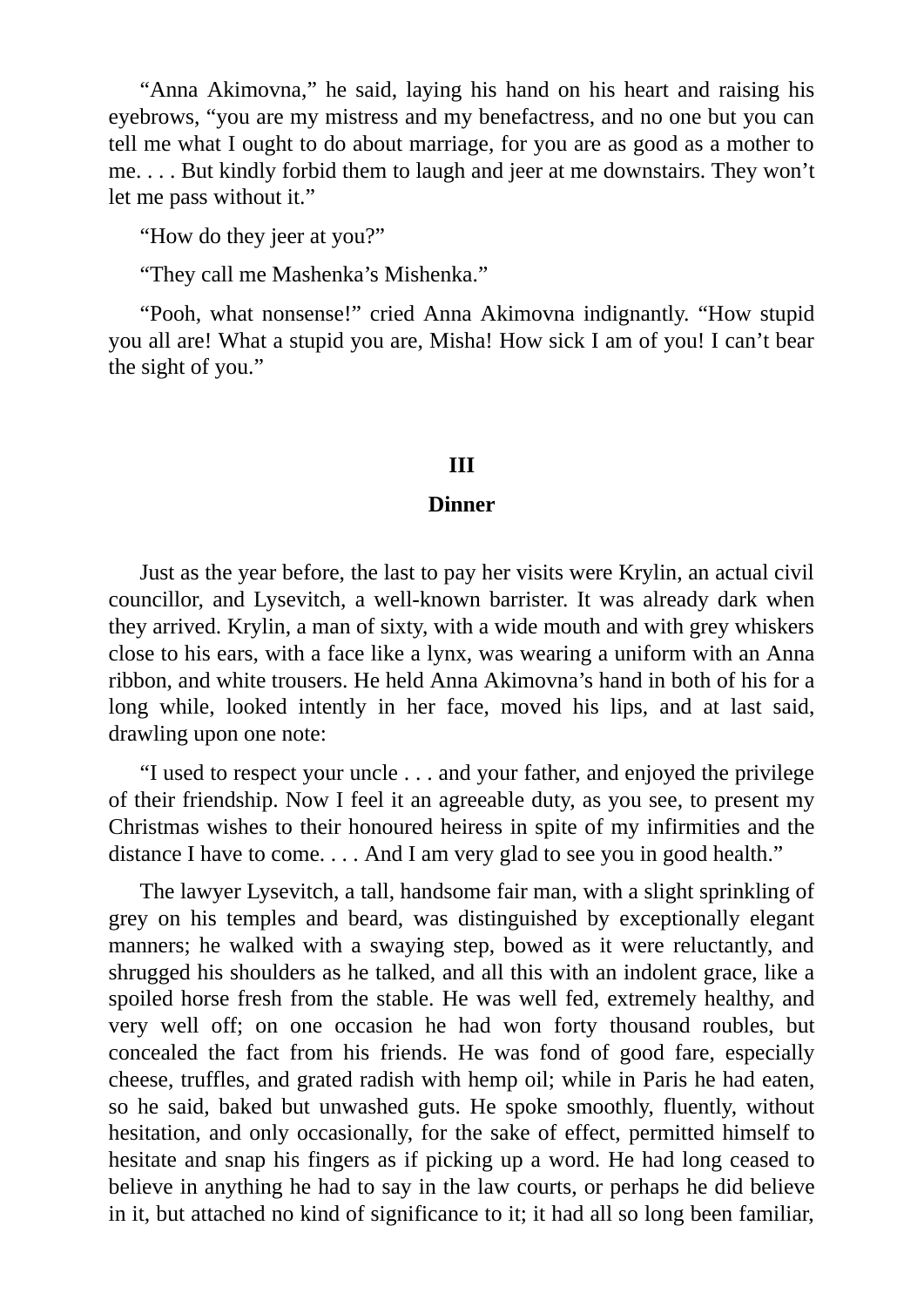"Anna Akimovna," he said, laying his hand on his heart and raising his eyebrows, "you are my mistress and my benefactress, and no one but you can tell me what I ought to do about marriage, for you are as good as a mother to me. . . . But kindly forbid them to laugh and jeer at me downstairs. They won't let me pass without it."

"How do they jeer at you?"

"They call me Mashenka's Mishenka."

"Pooh, what nonsense!" cried Anna Akimovna indignantly. "How stupid you all are! What a stupid you are, Misha! How sick I am of you! I can't bear the sight of you."

#### **III**

#### **Dinner**

Just as the year before, the last to pay her visits were Krylin, an actual civil councillor, and Lysevitch, a well-known barrister. It was already dark when they arrived. Krylin, a man of sixty, with a wide mouth and with grey whiskers close to his ears, with a face like a lynx, was wearing a uniform with an Anna ribbon, and white trousers. He held Anna Akimovna's hand in both of his for a long while, looked intently in her face, moved his lips, and at last said, drawling upon one note:

"I used to respect your uncle . . . and your father, and enjoyed the privilege of their friendship. Now I feel it an agreeable duty, as you see, to present my Christmas wishes to their honoured heiress in spite of my infirmities and the distance I have to come. . . . And I am very glad to see you in good health."

The lawyer Lysevitch, a tall, handsome fair man, with a slight sprinkling of grey on his temples and beard, was distinguished by exceptionally elegant manners; he walked with a swaying step, bowed as it were reluctantly, and shrugged his shoulders as he talked, and all this with an indolent grace, like a spoiled horse fresh from the stable. He was well fed, extremely healthy, and very well off; on one occasion he had won forty thousand roubles, but concealed the fact from his friends. He was fond of good fare, especially cheese, truffles, and grated radish with hemp oil; while in Paris he had eaten, so he said, baked but unwashed guts. He spoke smoothly, fluently, without hesitation, and only occasionally, for the sake of effect, permitted himself to hesitate and snap his fingers as if picking up a word. He had long ceased to believe in anything he had to say in the law courts, or perhaps he did believe in it, but attached no kind of significance to it; it had all so long been familiar,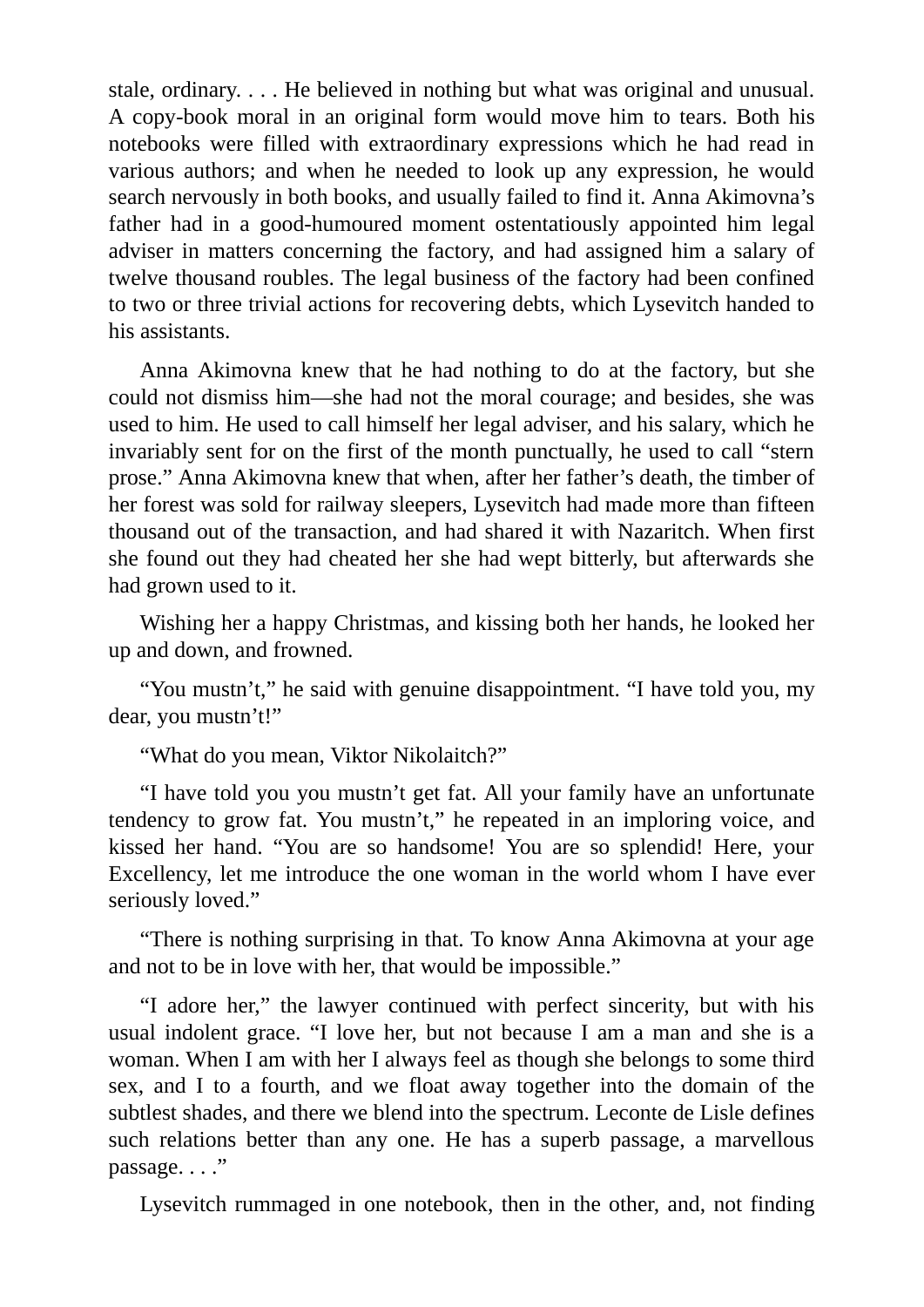stale, ordinary. . . . He believed in nothing but what was original and unusual. A copy-book moral in an original form would move him to tears. Both his notebooks were filled with extraordinary expressions which he had read in various authors; and when he needed to look up any expression, he would search nervously in both books, and usually failed to find it. Anna Akimovna's father had in a good-humoured moment ostentatiously appointed him legal adviser in matters concerning the factory, and had assigned him a salary of twelve thousand roubles. The legal business of the factory had been confined to two or three trivial actions for recovering debts, which Lysevitch handed to his assistants.

Anna Akimovna knew that he had nothing to do at the factory, but she could not dismiss him—she had not the moral courage; and besides, she was used to him. He used to call himself her legal adviser, and his salary, which he invariably sent for on the first of the month punctually, he used to call "stern prose." Anna Akimovna knew that when, after her father's death, the timber of her forest was sold for railway sleepers, Lysevitch had made more than fifteen thousand out of the transaction, and had shared it with Nazaritch. When first she found out they had cheated her she had wept bitterly, but afterwards she had grown used to it.

Wishing her a happy Christmas, and kissing both her hands, he looked her up and down, and frowned.

"You mustn't," he said with genuine disappointment. "I have told you, my dear, you mustn't!"

"What do you mean, Viktor Nikolaitch?"

"I have told you you mustn't get fat. All your family have an unfortunate tendency to grow fat. You mustn't," he repeated in an imploring voice, and kissed her hand. "You are so handsome! You are so splendid! Here, your Excellency, let me introduce the one woman in the world whom I have ever seriously loved."

"There is nothing surprising in that. To know Anna Akimovna at your age and not to be in love with her, that would be impossible."

"I adore her," the lawyer continued with perfect sincerity, but with his usual indolent grace. "I love her, but not because I am a man and she is a woman. When I am with her I always feel as though she belongs to some third sex, and I to a fourth, and we float away together into the domain of the subtlest shades, and there we blend into the spectrum. Leconte de Lisle defines such relations better than any one. He has a superb passage, a marvellous passage. . . ."

Lysevitch rummaged in one notebook, then in the other, and, not finding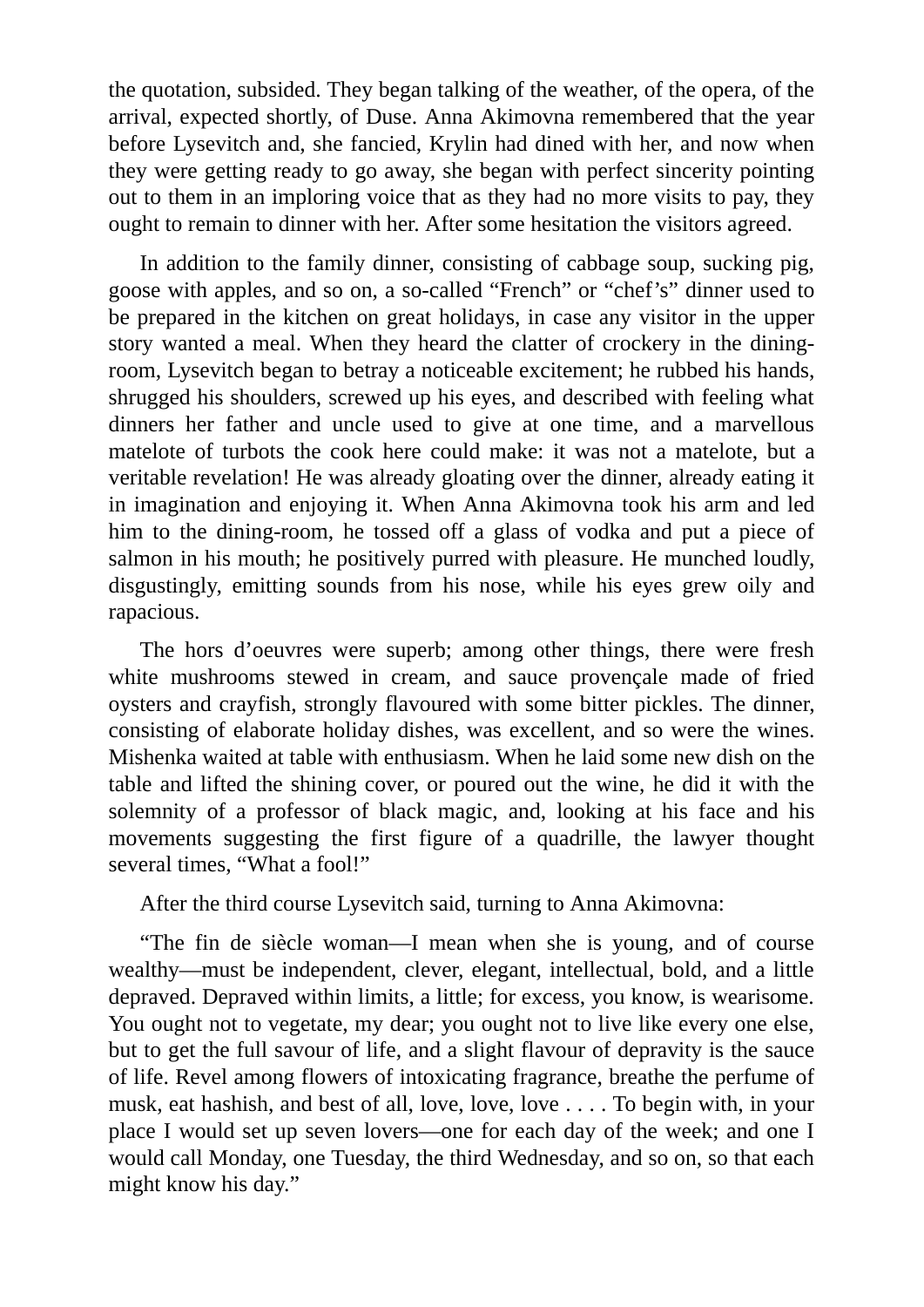the quotation, subsided. They began talking of the weather, of the opera, of the arrival, expected shortly, of Duse. Anna Akimovna remembered that the year before Lysevitch and, she fancied, Krylin had dined with her, and now when they were getting ready to go away, she began with perfect sincerity pointing out to them in an imploring voice that as they had no more visits to pay, they ought to remain to dinner with her. After some hesitation the visitors agreed.

In addition to the family dinner, consisting of cabbage soup, sucking pig, goose with apples, and so on, a so-called "French" or "chef's" dinner used to be prepared in the kitchen on great holidays, in case any visitor in the upper story wanted a meal. When they heard the clatter of crockery in the diningroom, Lysevitch began to betray a noticeable excitement; he rubbed his hands, shrugged his shoulders, screwed up his eyes, and described with feeling what dinners her father and uncle used to give at one time, and a marvellous matelote of turbots the cook here could make: it was not a matelote, but a veritable revelation! He was already gloating over the dinner, already eating it in imagination and enjoying it. When Anna Akimovna took his arm and led him to the dining-room, he tossed off a glass of vodka and put a piece of salmon in his mouth; he positively purred with pleasure. He munched loudly, disgustingly, emitting sounds from his nose, while his eyes grew oily and rapacious.

The hors d'oeuvres were superb; among other things, there were fresh white mushrooms stewed in cream, and sauce provençale made of fried oysters and crayfish, strongly flavoured with some bitter pickles. The dinner, consisting of elaborate holiday dishes, was excellent, and so were the wines. Mishenka waited at table with enthusiasm. When he laid some new dish on the table and lifted the shining cover, or poured out the wine, he did it with the solemnity of a professor of black magic, and, looking at his face and his movements suggesting the first figure of a quadrille, the lawyer thought several times, "What a fool!"

After the third course Lysevitch said, turning to Anna Akimovna:

"The fin de siècle woman—I mean when she is young, and of course wealthy—must be independent, clever, elegant, intellectual, bold, and a little depraved. Depraved within limits, a little; for excess, you know, is wearisome. You ought not to vegetate, my dear; you ought not to live like every one else, but to get the full savour of life, and a slight flavour of depravity is the sauce of life. Revel among flowers of intoxicating fragrance, breathe the perfume of musk, eat hashish, and best of all, love, love, love . . . . To begin with, in your place I would set up seven lovers—one for each day of the week; and one I would call Monday, one Tuesday, the third Wednesday, and so on, so that each might know his day."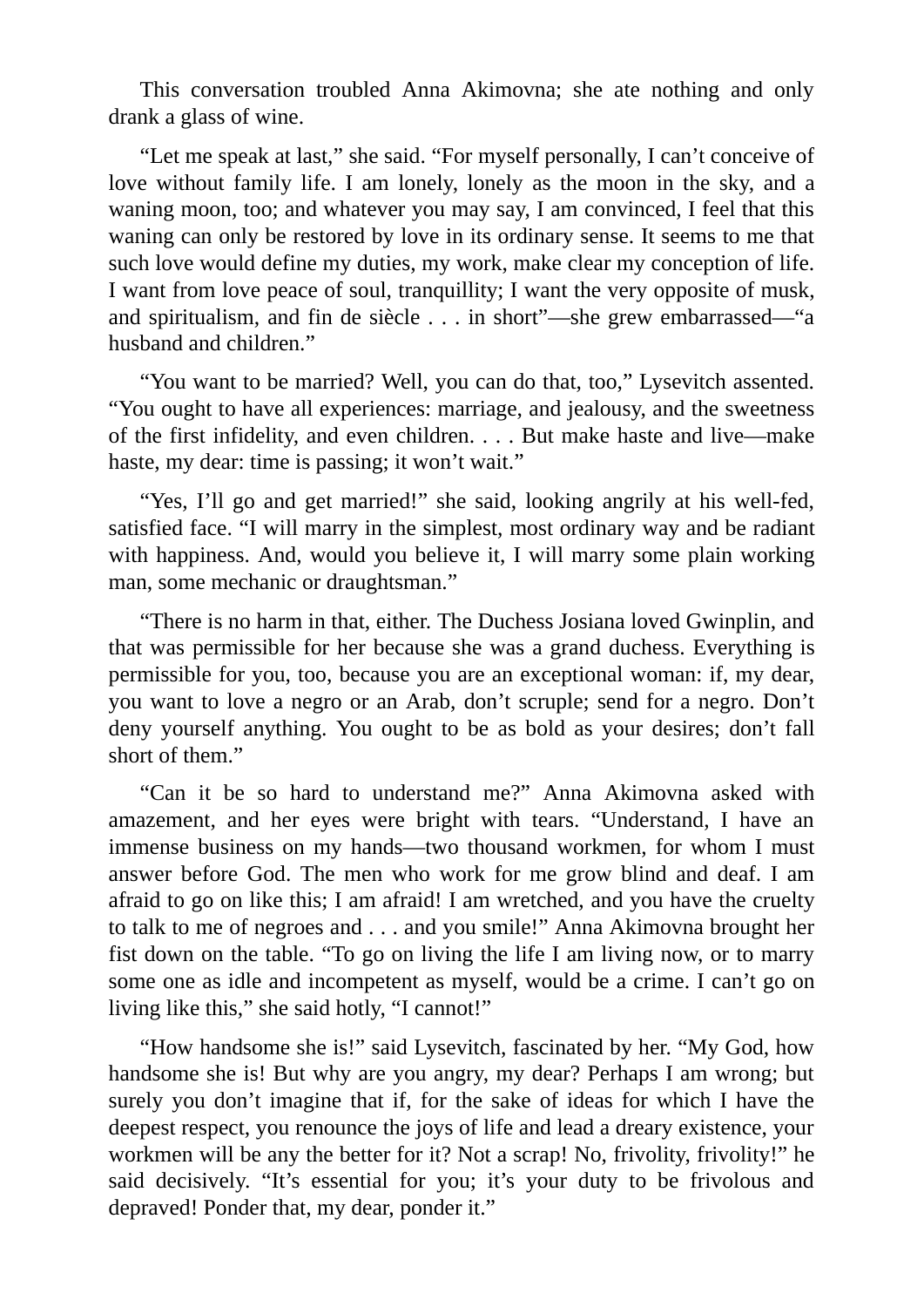This conversation troubled Anna Akimovna; she ate nothing and only drank a glass of wine.

"Let me speak at last," she said. "For myself personally, I can't conceive of love without family life. I am lonely, lonely as the moon in the sky, and a waning moon, too; and whatever you may say, I am convinced, I feel that this waning can only be restored by love in its ordinary sense. It seems to me that such love would define my duties, my work, make clear my conception of life. I want from love peace of soul, tranquillity; I want the very opposite of musk, and spiritualism, and fin de siècle . . . in short"—she grew embarrassed—"a husband and children."

"You want to be married? Well, you can do that, too," Lysevitch assented. "You ought to have all experiences: marriage, and jealousy, and the sweetness of the first infidelity, and even children. . . . But make haste and live—make haste, my dear: time is passing; it won't wait."

"Yes, I'll go and get married!" she said, looking angrily at his well-fed, satisfied face. "I will marry in the simplest, most ordinary way and be radiant with happiness. And, would you believe it, I will marry some plain working man, some mechanic or draughtsman."

"There is no harm in that, either. The Duchess Josiana loved Gwinplin, and that was permissible for her because she was a grand duchess. Everything is permissible for you, too, because you are an exceptional woman: if, my dear, you want to love a negro or an Arab, don't scruple; send for a negro. Don't deny yourself anything. You ought to be as bold as your desires; don't fall short of them."

"Can it be so hard to understand me?" Anna Akimovna asked with amazement, and her eyes were bright with tears. "Understand, I have an immense business on my hands—two thousand workmen, for whom I must answer before God. The men who work for me grow blind and deaf. I am afraid to go on like this; I am afraid! I am wretched, and you have the cruelty to talk to me of negroes and . . . and you smile!" Anna Akimovna brought her fist down on the table. "To go on living the life I am living now, or to marry some one as idle and incompetent as myself, would be a crime. I can't go on living like this," she said hotly, "I cannot!"

"How handsome she is!" said Lysevitch, fascinated by her. "My God, how handsome she is! But why are you angry, my dear? Perhaps I am wrong; but surely you don't imagine that if, for the sake of ideas for which I have the deepest respect, you renounce the joys of life and lead a dreary existence, your workmen will be any the better for it? Not a scrap! No, frivolity, frivolity!" he said decisively. "It's essential for you; it's your duty to be frivolous and depraved! Ponder that, my dear, ponder it."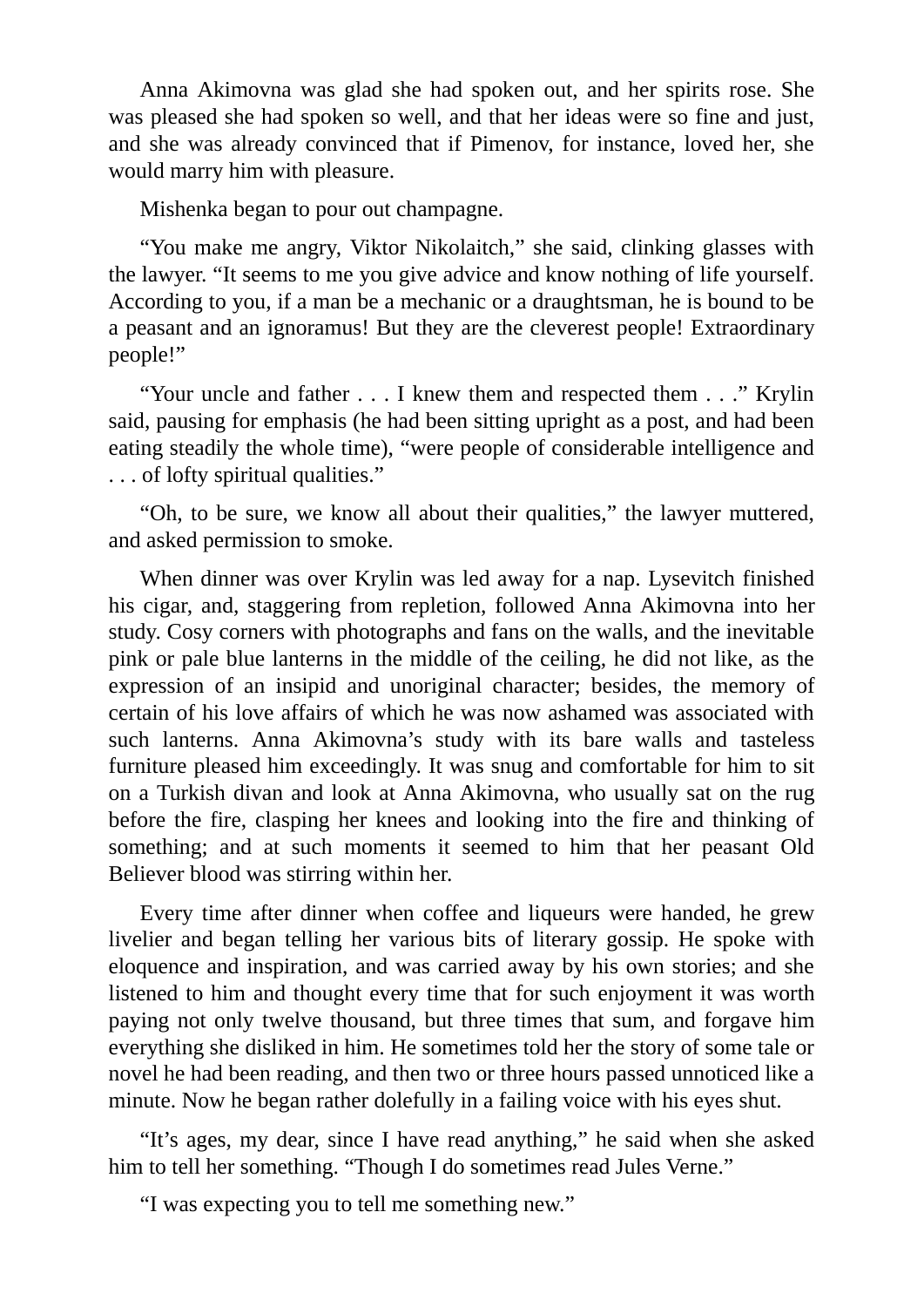Anna Akimovna was glad she had spoken out, and her spirits rose. She was pleased she had spoken so well, and that her ideas were so fine and just, and she was already convinced that if Pimenov, for instance, loved her, she would marry him with pleasure.

Mishenka began to pour out champagne.

"You make me angry, Viktor Nikolaitch," she said, clinking glasses with the lawyer. "It seems to me you give advice and know nothing of life yourself. According to you, if a man be a mechanic or a draughtsman, he is bound to be a peasant and an ignoramus! But they are the cleverest people! Extraordinary people!"

"Your uncle and father . . . I knew them and respected them . . ." Krylin said, pausing for emphasis (he had been sitting upright as a post, and had been eating steadily the whole time), "were people of considerable intelligence and . . . of lofty spiritual qualities."

"Oh, to be sure, we know all about their qualities," the lawyer muttered, and asked permission to smoke.

When dinner was over Krylin was led away for a nap. Lysevitch finished his cigar, and, staggering from repletion, followed Anna Akimovna into her study. Cosy corners with photographs and fans on the walls, and the inevitable pink or pale blue lanterns in the middle of the ceiling, he did not like, as the expression of an insipid and unoriginal character; besides, the memory of certain of his love affairs of which he was now ashamed was associated with such lanterns. Anna Akimovna's study with its bare walls and tasteless furniture pleased him exceedingly. It was snug and comfortable for him to sit on a Turkish divan and look at Anna Akimovna, who usually sat on the rug before the fire, clasping her knees and looking into the fire and thinking of something; and at such moments it seemed to him that her peasant Old Believer blood was stirring within her.

Every time after dinner when coffee and liqueurs were handed, he grew livelier and began telling her various bits of literary gossip. He spoke with eloquence and inspiration, and was carried away by his own stories; and she listened to him and thought every time that for such enjoyment it was worth paying not only twelve thousand, but three times that sum, and forgave him everything she disliked in him. He sometimes told her the story of some tale or novel he had been reading, and then two or three hours passed unnoticed like a minute. Now he began rather dolefully in a failing voice with his eyes shut.

"It's ages, my dear, since I have read anything," he said when she asked him to tell her something. "Though I do sometimes read Jules Verne."

"I was expecting you to tell me something new."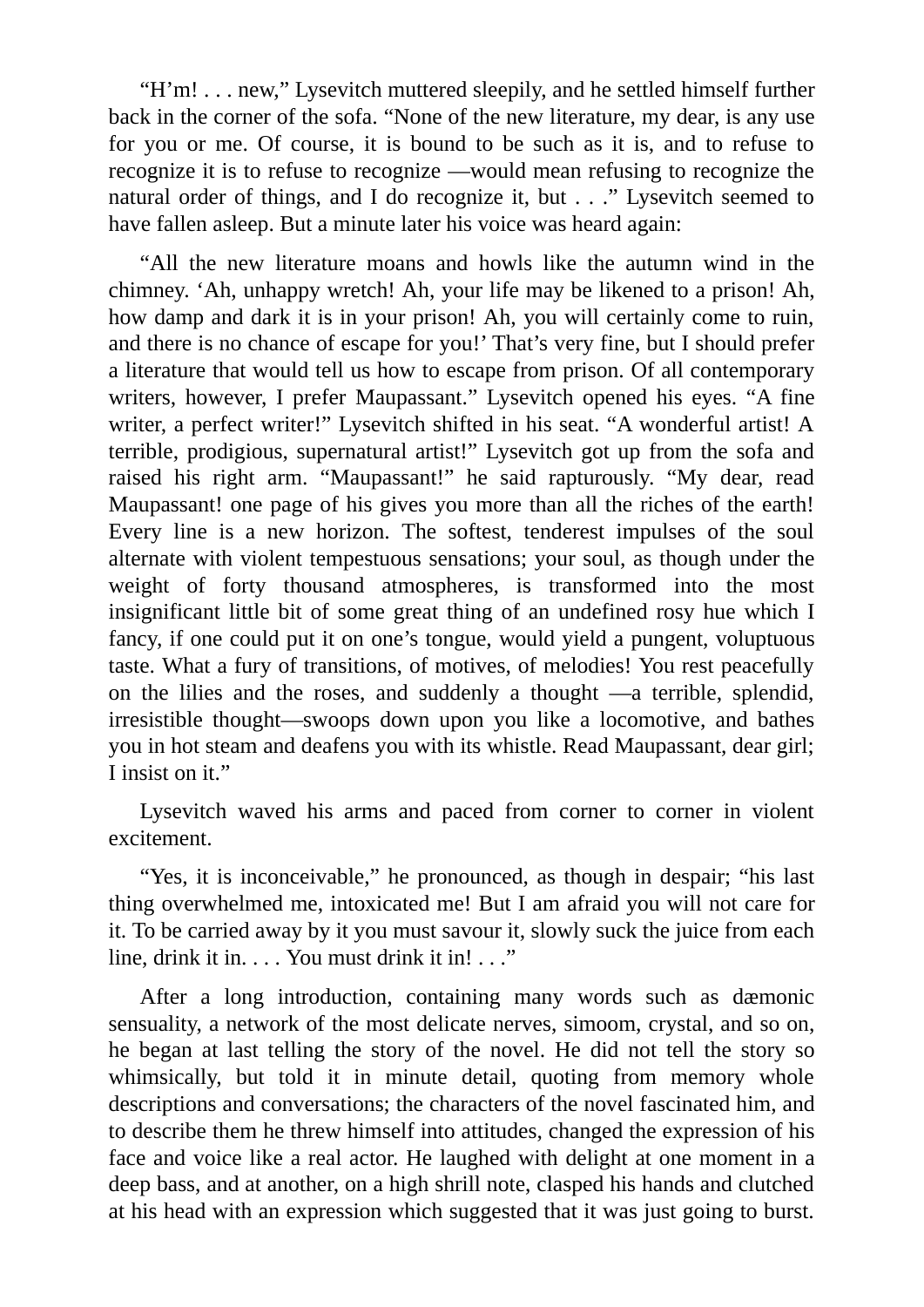"H'm! . . . new," Lysevitch muttered sleepily, and he settled himself further back in the corner of the sofa. "None of the new literature, my dear, is any use for you or me. Of course, it is bound to be such as it is, and to refuse to recognize it is to refuse to recognize —would mean refusing to recognize the natural order of things, and I do recognize it, but . . ." Lysevitch seemed to have fallen asleep. But a minute later his voice was heard again:

"All the new literature moans and howls like the autumn wind in the chimney. 'Ah, unhappy wretch! Ah, your life may be likened to a prison! Ah, how damp and dark it is in your prison! Ah, you will certainly come to ruin, and there is no chance of escape for you!' That's very fine, but I should prefer a literature that would tell us how to escape from prison. Of all contemporary writers, however, I prefer Maupassant." Lysevitch opened his eyes. "A fine writer, a perfect writer!" Lysevitch shifted in his seat. "A wonderful artist! A terrible, prodigious, supernatural artist!" Lysevitch got up from the sofa and raised his right arm. "Maupassant!" he said rapturously. "My dear, read Maupassant! one page of his gives you more than all the riches of the earth! Every line is a new horizon. The softest, tenderest impulses of the soul alternate with violent tempestuous sensations; your soul, as though under the weight of forty thousand atmospheres, is transformed into the most insignificant little bit of some great thing of an undefined rosy hue which I fancy, if one could put it on one's tongue, would yield a pungent, voluptuous taste. What a fury of transitions, of motives, of melodies! You rest peacefully on the lilies and the roses, and suddenly a thought —a terrible, splendid, irresistible thought—swoops down upon you like a locomotive, and bathes you in hot steam and deafens you with its whistle. Read Maupassant, dear girl; I insist on it."

Lysevitch waved his arms and paced from corner to corner in violent excitement.

"Yes, it is inconceivable," he pronounced, as though in despair; "his last thing overwhelmed me, intoxicated me! But I am afraid you will not care for it. To be carried away by it you must savour it, slowly suck the juice from each line, drink it in. . . . You must drink it in! . . ."

After a long introduction, containing many words such as dæmonic sensuality, a network of the most delicate nerves, simoom, crystal, and so on, he began at last telling the story of the novel. He did not tell the story so whimsically, but told it in minute detail, quoting from memory whole descriptions and conversations; the characters of the novel fascinated him, and to describe them he threw himself into attitudes, changed the expression of his face and voice like a real actor. He laughed with delight at one moment in a deep bass, and at another, on a high shrill note, clasped his hands and clutched at his head with an expression which suggested that it was just going to burst.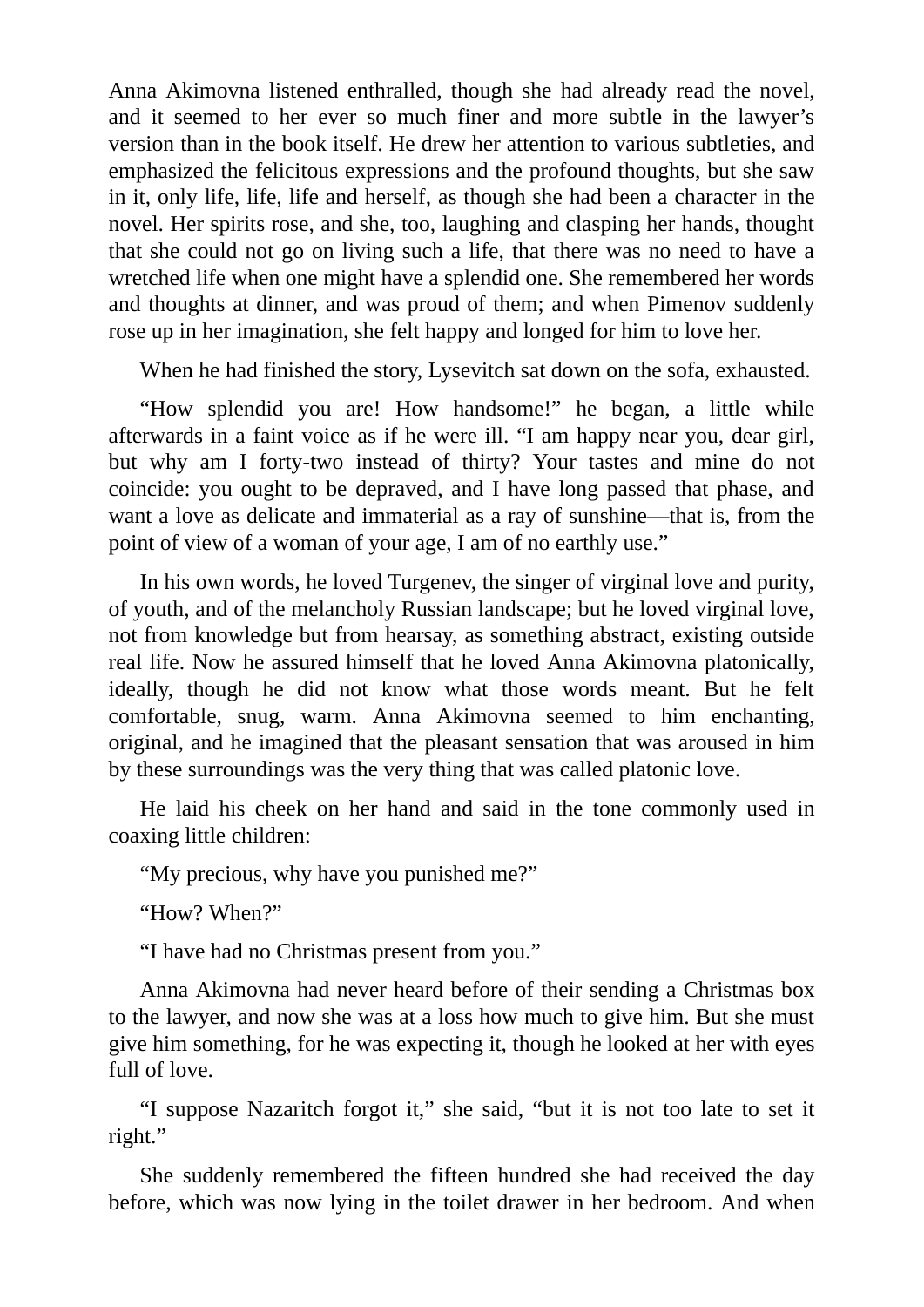Anna Akimovna listened enthralled, though she had already read the novel, and it seemed to her ever so much finer and more subtle in the lawyer's version than in the book itself. He drew her attention to various subtleties, and emphasized the felicitous expressions and the profound thoughts, but she saw in it, only life, life, life and herself, as though she had been a character in the novel. Her spirits rose, and she, too, laughing and clasping her hands, thought that she could not go on living such a life, that there was no need to have a wretched life when one might have a splendid one. She remembered her words and thoughts at dinner, and was proud of them; and when Pimenov suddenly rose up in her imagination, she felt happy and longed for him to love her.

When he had finished the story, Lysevitch sat down on the sofa, exhausted.

"How splendid you are! How handsome!" he began, a little while afterwards in a faint voice as if he were ill. "I am happy near you, dear girl, but why am I forty-two instead of thirty? Your tastes and mine do not coincide: you ought to be depraved, and I have long passed that phase, and want a love as delicate and immaterial as a ray of sunshine—that is, from the point of view of a woman of your age, I am of no earthly use."

In his own words, he loved Turgenev, the singer of virginal love and purity, of youth, and of the melancholy Russian landscape; but he loved virginal love, not from knowledge but from hearsay, as something abstract, existing outside real life. Now he assured himself that he loved Anna Akimovna platonically, ideally, though he did not know what those words meant. But he felt comfortable, snug, warm. Anna Akimovna seemed to him enchanting, original, and he imagined that the pleasant sensation that was aroused in him by these surroundings was the very thing that was called platonic love.

He laid his cheek on her hand and said in the tone commonly used in coaxing little children:

"My precious, why have you punished me?"

"How? When?"

"I have had no Christmas present from you."

Anna Akimovna had never heard before of their sending a Christmas box to the lawyer, and now she was at a loss how much to give him. But she must give him something, for he was expecting it, though he looked at her with eyes full of love.

"I suppose Nazaritch forgot it," she said, "but it is not too late to set it right."

She suddenly remembered the fifteen hundred she had received the day before, which was now lying in the toilet drawer in her bedroom. And when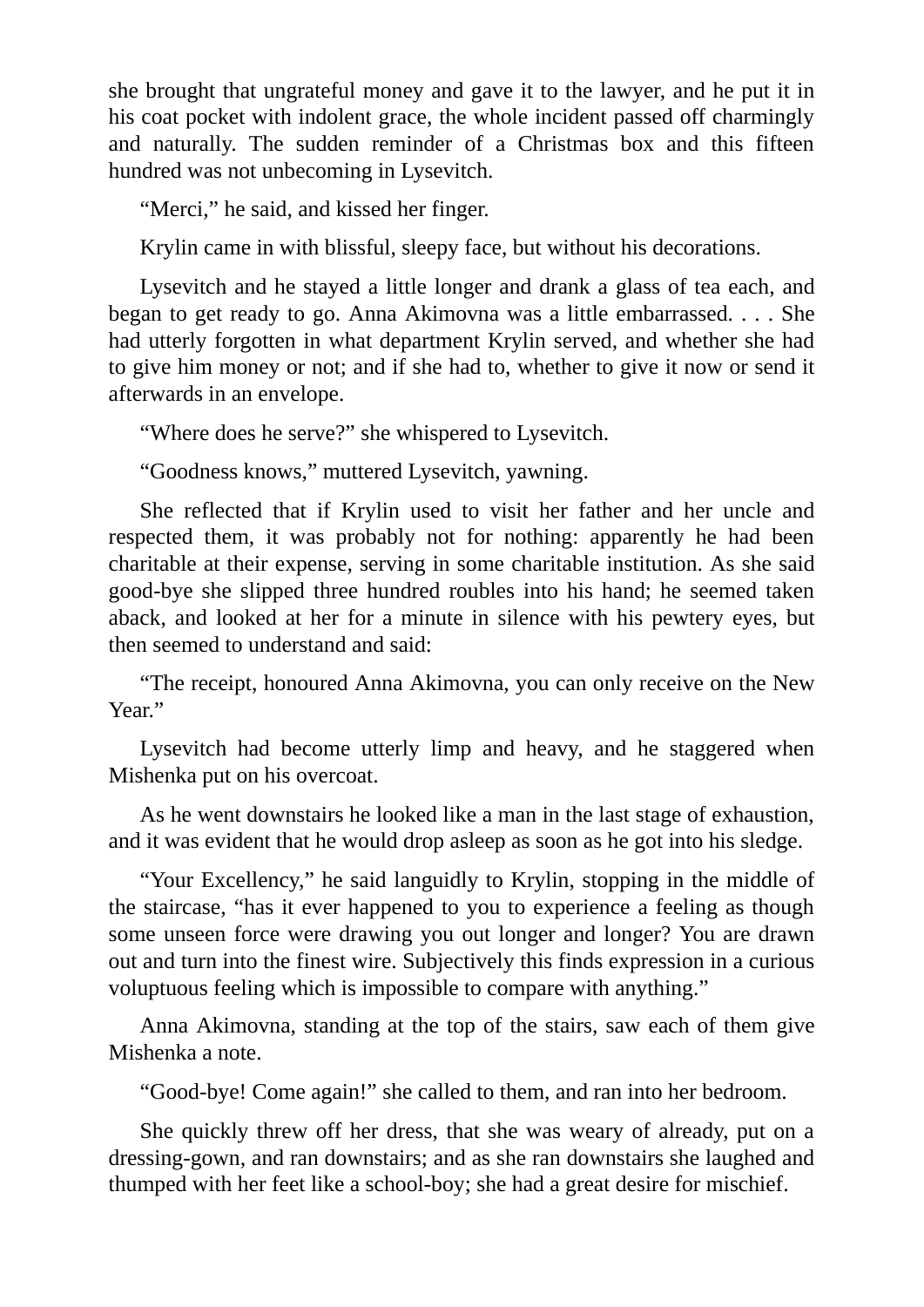she brought that ungrateful money and gave it to the lawyer, and he put it in his coat pocket with indolent grace, the whole incident passed off charmingly and naturally. The sudden reminder of a Christmas box and this fifteen hundred was not unbecoming in Lysevitch.

"Merci," he said, and kissed her finger.

Krylin came in with blissful, sleepy face, but without his decorations.

Lysevitch and he stayed a little longer and drank a glass of tea each, and began to get ready to go. Anna Akimovna was a little embarrassed. . . . She had utterly forgotten in what department Krylin served, and whether she had to give him money or not; and if she had to, whether to give it now or send it afterwards in an envelope.

"Where does he serve?" she whispered to Lysevitch.

"Goodness knows," muttered Lysevitch, yawning.

She reflected that if Krylin used to visit her father and her uncle and respected them, it was probably not for nothing: apparently he had been charitable at their expense, serving in some charitable institution. As she said good-bye she slipped three hundred roubles into his hand; he seemed taken aback, and looked at her for a minute in silence with his pewtery eyes, but then seemed to understand and said:

"The receipt, honoured Anna Akimovna, you can only receive on the New Year."

Lysevitch had become utterly limp and heavy, and he staggered when Mishenka put on his overcoat.

As he went downstairs he looked like a man in the last stage of exhaustion, and it was evident that he would drop asleep as soon as he got into his sledge.

"Your Excellency," he said languidly to Krylin, stopping in the middle of the staircase, "has it ever happened to you to experience a feeling as though some unseen force were drawing you out longer and longer? You are drawn out and turn into the finest wire. Subjectively this finds expression in a curious voluptuous feeling which is impossible to compare with anything."

Anna Akimovna, standing at the top of the stairs, saw each of them give Mishenka a note.

"Good-bye! Come again!" she called to them, and ran into her bedroom.

She quickly threw off her dress, that she was weary of already, put on a dressing-gown, and ran downstairs; and as she ran downstairs she laughed and thumped with her feet like a school-boy; she had a great desire for mischief.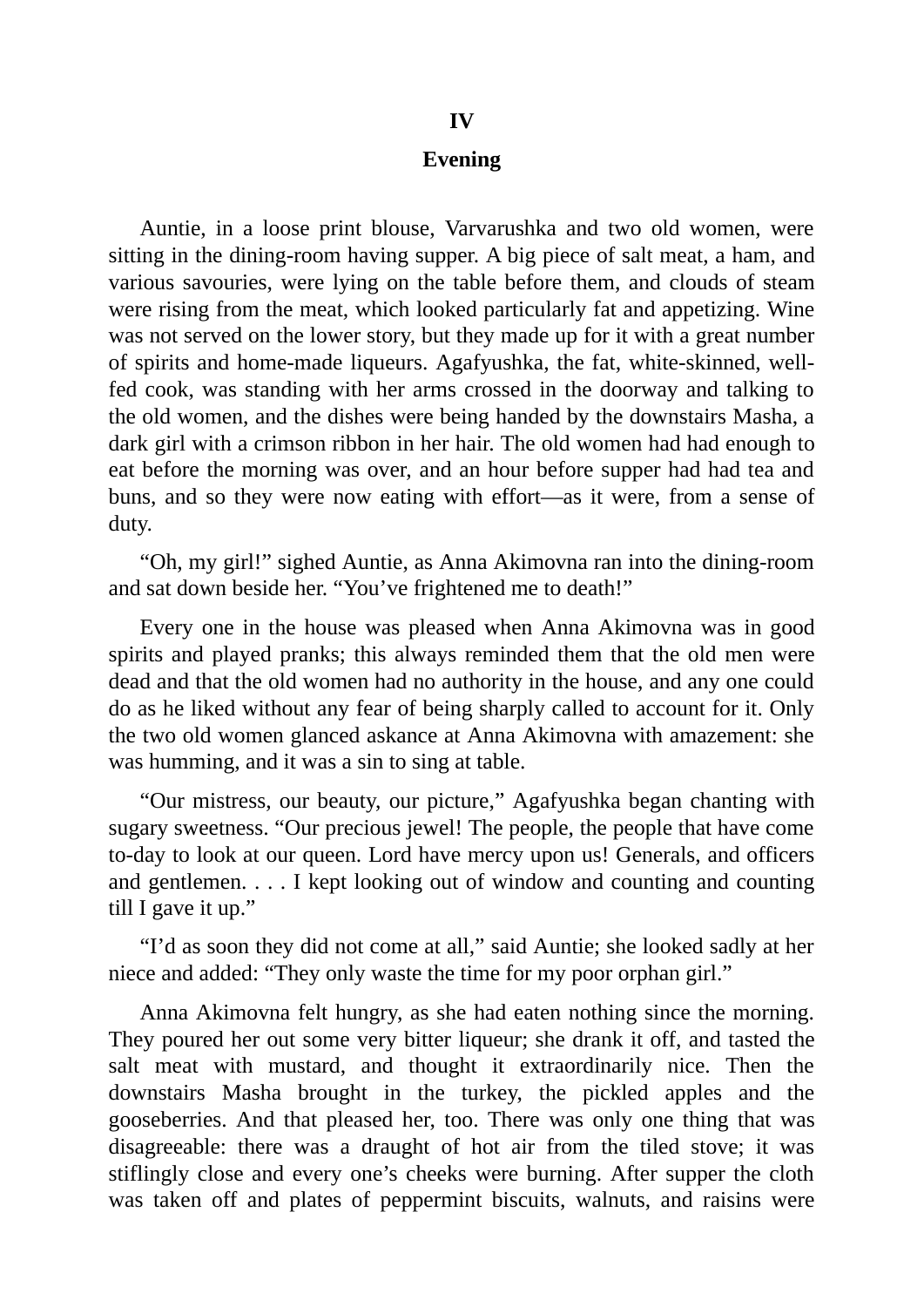## **Evening**

Auntie, in a loose print blouse, Varvarushka and two old women, were sitting in the dining-room having supper. A big piece of salt meat, a ham, and various savouries, were lying on the table before them, and clouds of steam were rising from the meat, which looked particularly fat and appetizing. Wine was not served on the lower story, but they made up for it with a great number of spirits and home-made liqueurs. Agafyushka, the fat, white-skinned, wellfed cook, was standing with her arms crossed in the doorway and talking to the old women, and the dishes were being handed by the downstairs Masha, a dark girl with a crimson ribbon in her hair. The old women had had enough to eat before the morning was over, and an hour before supper had had tea and buns, and so they were now eating with effort—as it were, from a sense of duty.

"Oh, my girl!" sighed Auntie, as Anna Akimovna ran into the dining-room and sat down beside her. "You've frightened me to death!"

Every one in the house was pleased when Anna Akimovna was in good spirits and played pranks; this always reminded them that the old men were dead and that the old women had no authority in the house, and any one could do as he liked without any fear of being sharply called to account for it. Only the two old women glanced askance at Anna Akimovna with amazement: she was humming, and it was a sin to sing at table.

"Our mistress, our beauty, our picture," Agafyushka began chanting with sugary sweetness. "Our precious jewel! The people, the people that have come to-day to look at our queen. Lord have mercy upon us! Generals, and officers and gentlemen. . . . I kept looking out of window and counting and counting till I gave it up."

"I'd as soon they did not come at all," said Auntie; she looked sadly at her niece and added: "They only waste the time for my poor orphan girl."

Anna Akimovna felt hungry, as she had eaten nothing since the morning. They poured her out some very bitter liqueur; she drank it off, and tasted the salt meat with mustard, and thought it extraordinarily nice. Then the downstairs Masha brought in the turkey, the pickled apples and the gooseberries. And that pleased her, too. There was only one thing that was disagreeable: there was a draught of hot air from the tiled stove; it was stiflingly close and every one's cheeks were burning. After supper the cloth was taken off and plates of peppermint biscuits, walnuts, and raisins were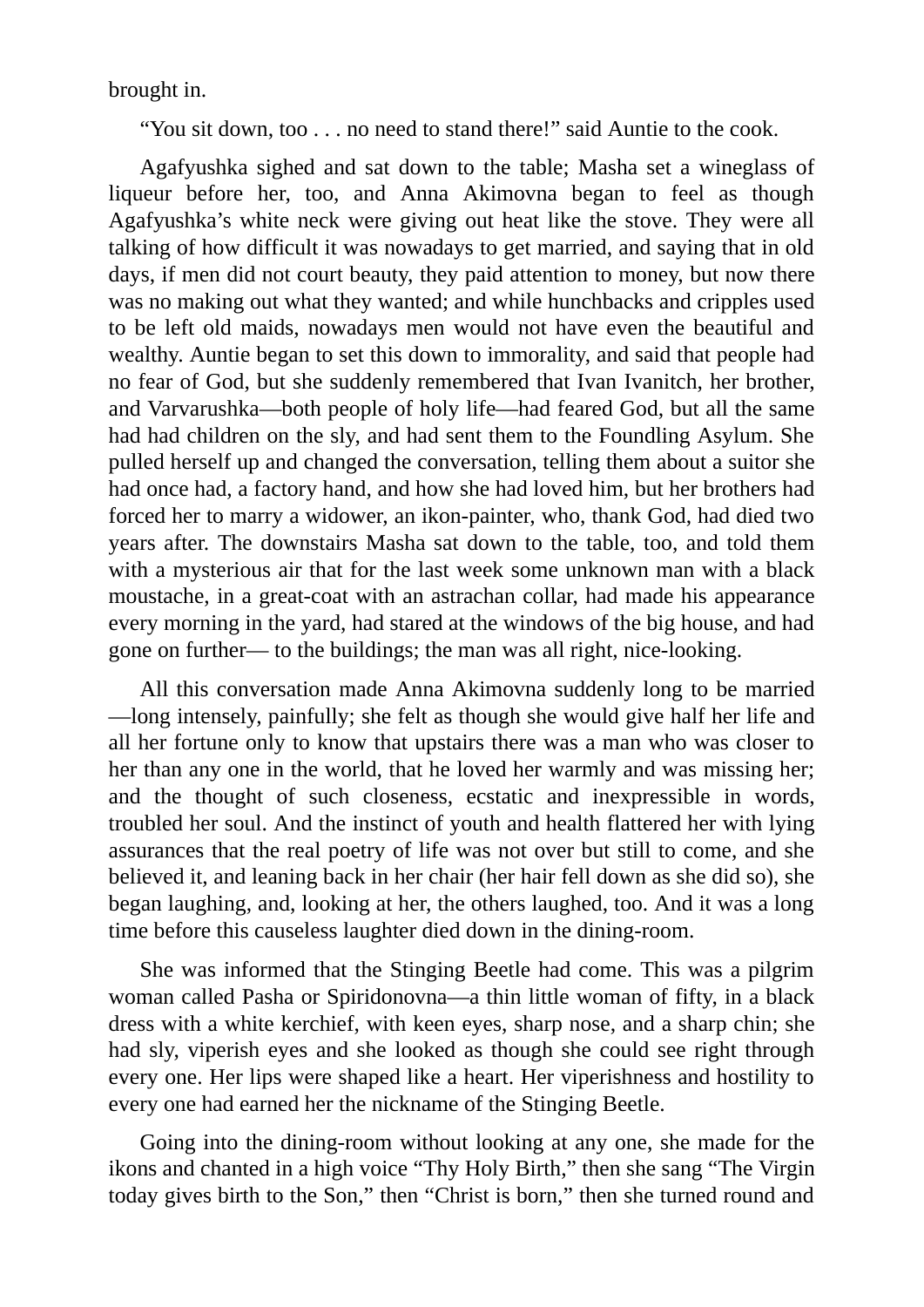brought in.

"You sit down, too . . . no need to stand there!" said Auntie to the cook.

Agafyushka sighed and sat down to the table; Masha set a wineglass of liqueur before her, too, and Anna Akimovna began to feel as though Agafyushka's white neck were giving out heat like the stove. They were all talking of how difficult it was nowadays to get married, and saying that in old days, if men did not court beauty, they paid attention to money, but now there was no making out what they wanted; and while hunchbacks and cripples used to be left old maids, nowadays men would not have even the beautiful and wealthy. Auntie began to set this down to immorality, and said that people had no fear of God, but she suddenly remembered that Ivan Ivanitch, her brother, and Varvarushka—both people of holy life—had feared God, but all the same had had children on the sly, and had sent them to the Foundling Asylum. She pulled herself up and changed the conversation, telling them about a suitor she had once had, a factory hand, and how she had loved him, but her brothers had forced her to marry a widower, an ikon-painter, who, thank God, had died two years after. The downstairs Masha sat down to the table, too, and told them with a mysterious air that for the last week some unknown man with a black moustache, in a great-coat with an astrachan collar, had made his appearance every morning in the yard, had stared at the windows of the big house, and had gone on further— to the buildings; the man was all right, nice-looking.

All this conversation made Anna Akimovna suddenly long to be married —long intensely, painfully; she felt as though she would give half her life and all her fortune only to know that upstairs there was a man who was closer to her than any one in the world, that he loved her warmly and was missing her; and the thought of such closeness, ecstatic and inexpressible in words, troubled her soul. And the instinct of youth and health flattered her with lying assurances that the real poetry of life was not over but still to come, and she believed it, and leaning back in her chair (her hair fell down as she did so), she began laughing, and, looking at her, the others laughed, too. And it was a long time before this causeless laughter died down in the dining-room.

She was informed that the Stinging Beetle had come. This was a pilgrim woman called Pasha or Spiridonovna—a thin little woman of fifty, in a black dress with a white kerchief, with keen eyes, sharp nose, and a sharp chin; she had sly, viperish eyes and she looked as though she could see right through every one. Her lips were shaped like a heart. Her viperishness and hostility to every one had earned her the nickname of the Stinging Beetle.

Going into the dining-room without looking at any one, she made for the ikons and chanted in a high voice "Thy Holy Birth," then she sang "The Virgin today gives birth to the Son," then "Christ is born," then she turned round and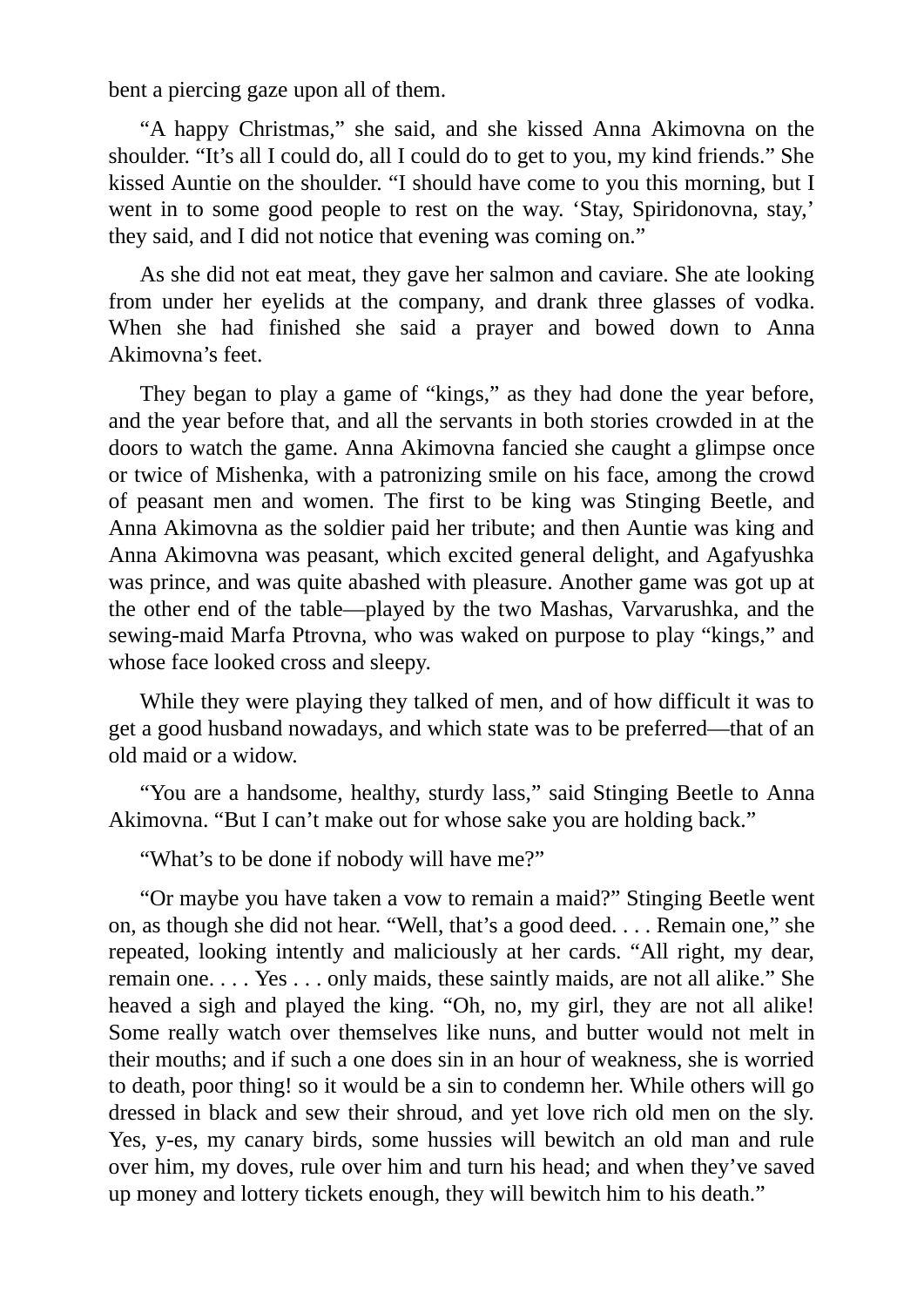bent a piercing gaze upon all of them.

"A happy Christmas," she said, and she kissed Anna Akimovna on the shoulder. "It's all I could do, all I could do to get to you, my kind friends." She kissed Auntie on the shoulder. "I should have come to you this morning, but I went in to some good people to rest on the way. 'Stay, Spiridonovna, stay,' they said, and I did not notice that evening was coming on."

As she did not eat meat, they gave her salmon and caviare. She ate looking from under her eyelids at the company, and drank three glasses of vodka. When she had finished she said a prayer and bowed down to Anna Akimovna's feet.

They began to play a game of "kings," as they had done the year before, and the year before that, and all the servants in both stories crowded in at the doors to watch the game. Anna Akimovna fancied she caught a glimpse once or twice of Mishenka, with a patronizing smile on his face, among the crowd of peasant men and women. The first to be king was Stinging Beetle, and Anna Akimovna as the soldier paid her tribute; and then Auntie was king and Anna Akimovna was peasant, which excited general delight, and Agafyushka was prince, and was quite abashed with pleasure. Another game was got up at the other end of the table—played by the two Mashas, Varvarushka, and the sewing-maid Marfa Ptrovna, who was waked on purpose to play "kings," and whose face looked cross and sleepy.

While they were playing they talked of men, and of how difficult it was to get a good husband nowadays, and which state was to be preferred—that of an old maid or a widow.

"You are a handsome, healthy, sturdy lass," said Stinging Beetle to Anna Akimovna. "But I can't make out for whose sake you are holding back."

"What's to be done if nobody will have me?"

"Or maybe you have taken a vow to remain a maid?" Stinging Beetle went on, as though she did not hear. "Well, that's a good deed. . . . Remain one," she repeated, looking intently and maliciously at her cards. "All right, my dear, remain one. . . . Yes . . . only maids, these saintly maids, are not all alike." She heaved a sigh and played the king. "Oh, no, my girl, they are not all alike! Some really watch over themselves like nuns, and butter would not melt in their mouths; and if such a one does sin in an hour of weakness, she is worried to death, poor thing! so it would be a sin to condemn her. While others will go dressed in black and sew their shroud, and yet love rich old men on the sly. Yes, y-es, my canary birds, some hussies will bewitch an old man and rule over him, my doves, rule over him and turn his head; and when they've saved up money and lottery tickets enough, they will bewitch him to his death."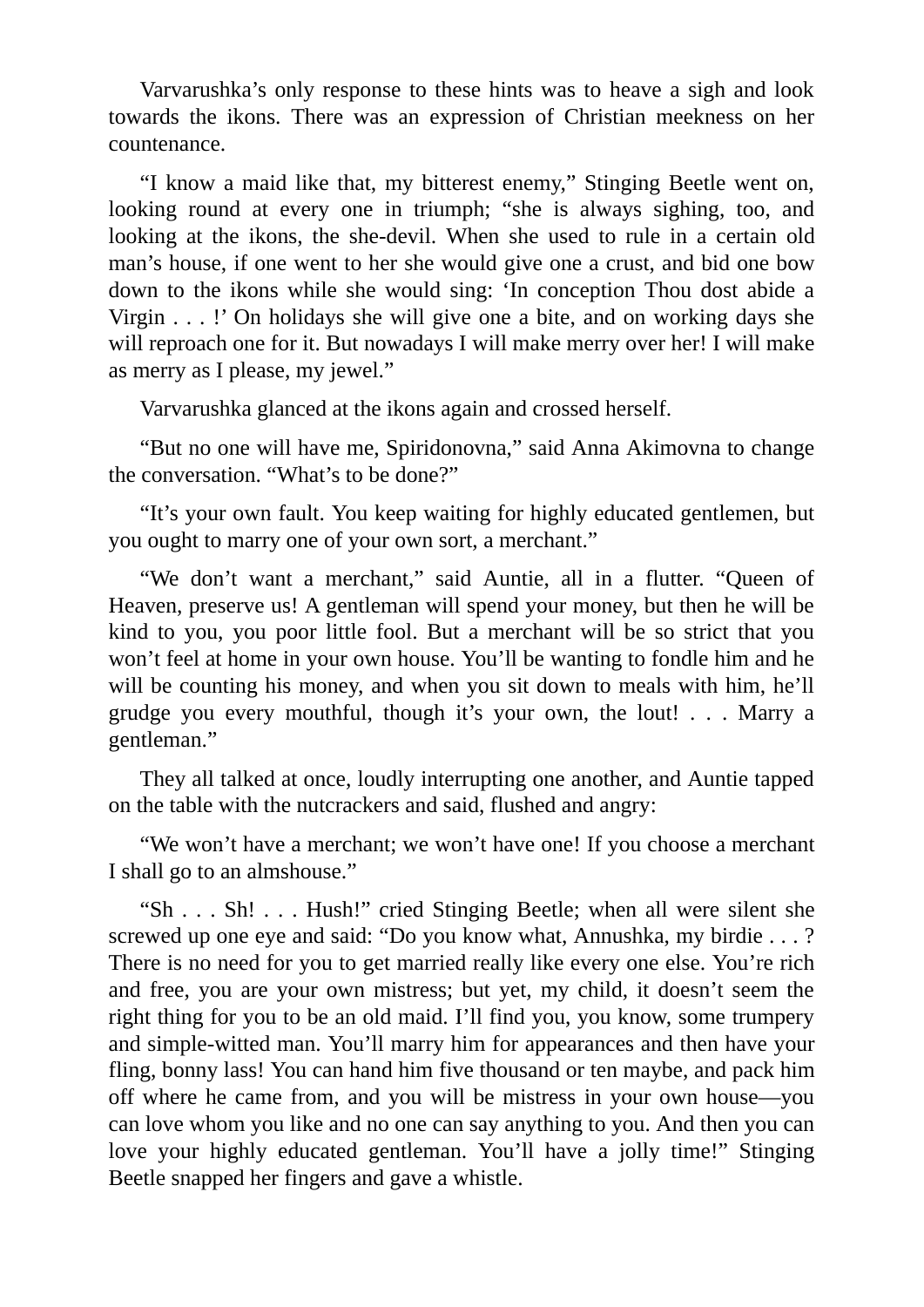Varvarushka's only response to these hints was to heave a sigh and look towards the ikons. There was an expression of Christian meekness on her countenance.

"I know a maid like that, my bitterest enemy," Stinging Beetle went on, looking round at every one in triumph; "she is always sighing, too, and looking at the ikons, the she-devil. When she used to rule in a certain old man's house, if one went to her she would give one a crust, and bid one bow down to the ikons while she would sing: 'In conception Thou dost abide a Virgin . . . !' On holidays she will give one a bite, and on working days she will reproach one for it. But nowadays I will make merry over her! I will make as merry as I please, my jewel."

Varvarushka glanced at the ikons again and crossed herself.

"But no one will have me, Spiridonovna," said Anna Akimovna to change the conversation. "What's to be done?"

"It's your own fault. You keep waiting for highly educated gentlemen, but you ought to marry one of your own sort, a merchant."

"We don't want a merchant," said Auntie, all in a flutter. "Queen of Heaven, preserve us! A gentleman will spend your money, but then he will be kind to you, you poor little fool. But a merchant will be so strict that you won't feel at home in your own house. You'll be wanting to fondle him and he will be counting his money, and when you sit down to meals with him, he'll grudge you every mouthful, though it's your own, the lout! . . . Marry a gentleman."

They all talked at once, loudly interrupting one another, and Auntie tapped on the table with the nutcrackers and said, flushed and angry:

"We won't have a merchant; we won't have one! If you choose a merchant I shall go to an almshouse."

"Sh . . . Sh! . . . Hush!" cried Stinging Beetle; when all were silent she screwed up one eye and said: "Do you know what, Annushka, my birdie . . . ? There is no need for you to get married really like every one else. You're rich and free, you are your own mistress; but yet, my child, it doesn't seem the right thing for you to be an old maid. I'll find you, you know, some trumpery and simple-witted man. You'll marry him for appearances and then have your fling, bonny lass! You can hand him five thousand or ten maybe, and pack him off where he came from, and you will be mistress in your own house—you can love whom you like and no one can say anything to you. And then you can love your highly educated gentleman. You'll have a jolly time!" Stinging Beetle snapped her fingers and gave a whistle.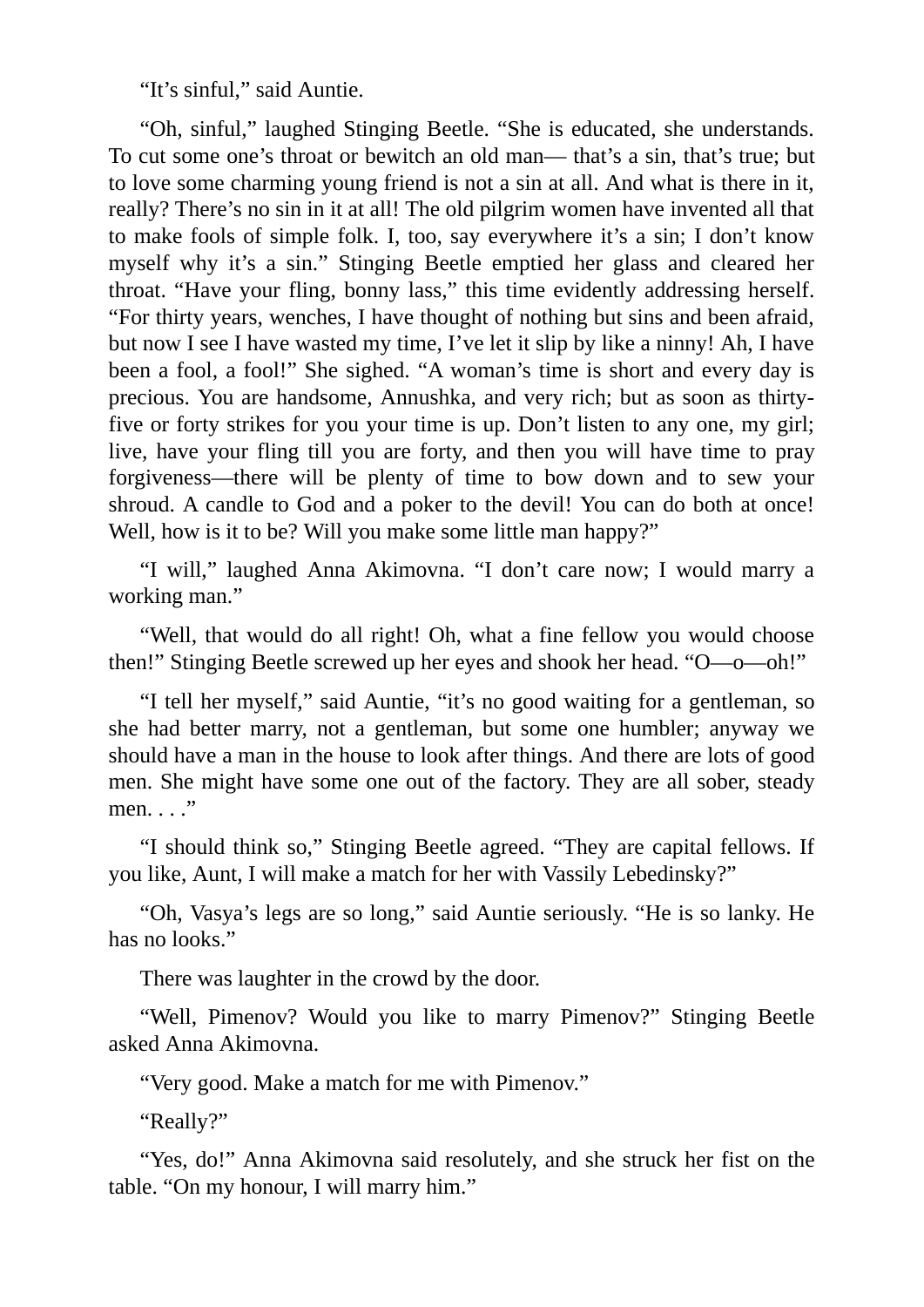"It's sinful," said Auntie.

"Oh, sinful," laughed Stinging Beetle. "She is educated, she understands. To cut some one's throat or bewitch an old man— that's a sin, that's true; but to love some charming young friend is not a sin at all. And what is there in it, really? There's no sin in it at all! The old pilgrim women have invented all that to make fools of simple folk. I, too, say everywhere it's a sin; I don't know myself why it's a sin." Stinging Beetle emptied her glass and cleared her throat. "Have your fling, bonny lass," this time evidently addressing herself. "For thirty years, wenches, I have thought of nothing but sins and been afraid, but now I see I have wasted my time, I've let it slip by like a ninny! Ah, I have been a fool, a fool!" She sighed. "A woman's time is short and every day is precious. You are handsome, Annushka, and very rich; but as soon as thirtyfive or forty strikes for you your time is up. Don't listen to any one, my girl; live, have your fling till you are forty, and then you will have time to pray forgiveness—there will be plenty of time to bow down and to sew your shroud. A candle to God and a poker to the devil! You can do both at once! Well, how is it to be? Will you make some little man happy?"

"I will," laughed Anna Akimovna. "I don't care now; I would marry a working man."

"Well, that would do all right! Oh, what a fine fellow you would choose then!" Stinging Beetle screwed up her eyes and shook her head. "O—o—oh!"

"I tell her myself," said Auntie, "it's no good waiting for a gentleman, so she had better marry, not a gentleman, but some one humbler; anyway we should have a man in the house to look after things. And there are lots of good men. She might have some one out of the factory. They are all sober, steady men. . . ."

"I should think so," Stinging Beetle agreed. "They are capital fellows. If you like, Aunt, I will make a match for her with Vassily Lebedinsky?"

"Oh, Vasya's legs are so long," said Auntie seriously. "He is so lanky. He has no looks."

There was laughter in the crowd by the door.

"Well, Pimenov? Would you like to marry Pimenov?" Stinging Beetle asked Anna Akimovna.

"Very good. Make a match for me with Pimenov."

"Really?"

"Yes, do!" Anna Akimovna said resolutely, and she struck her fist on the table. "On my honour, I will marry him."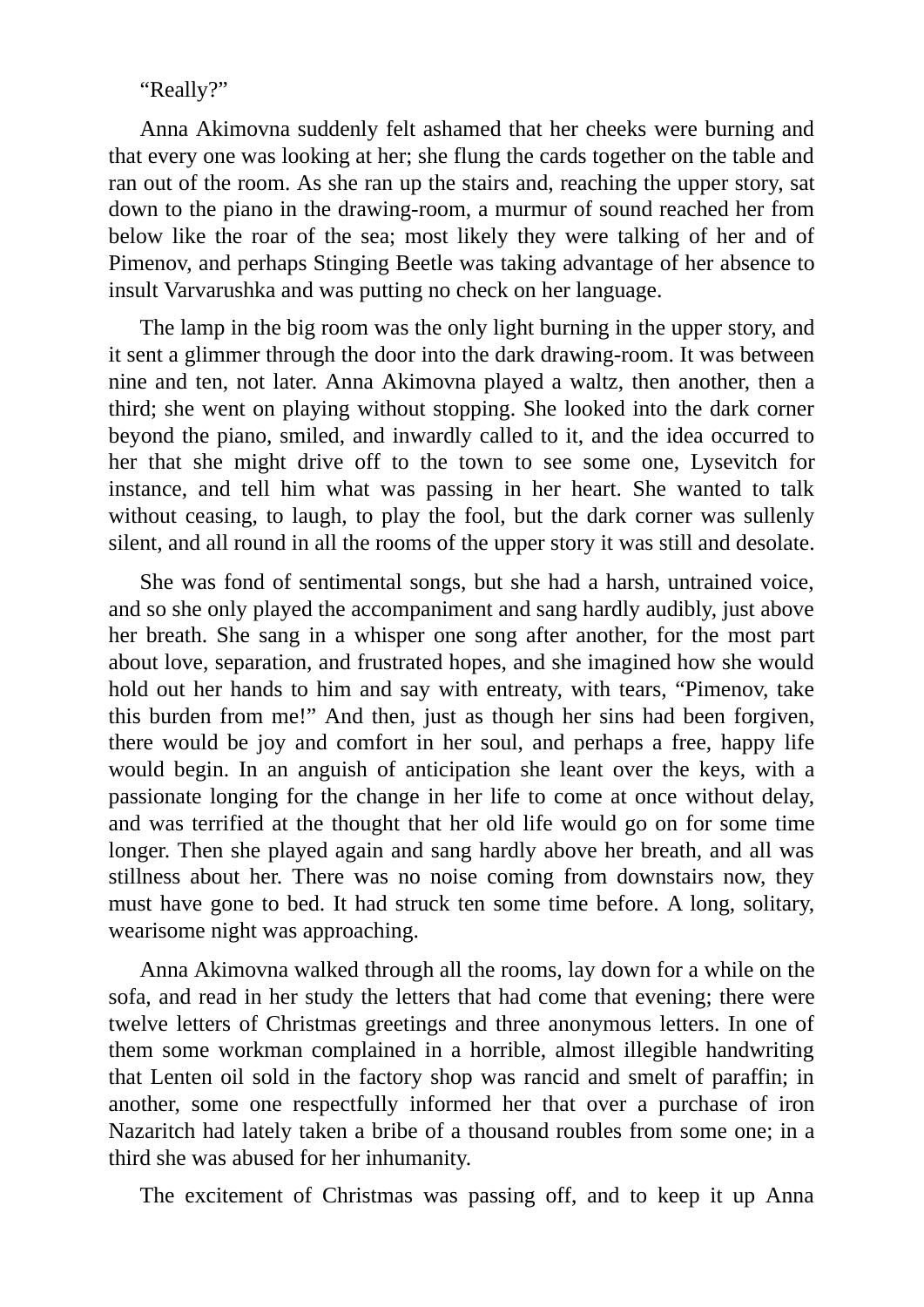"Really?"

Anna Akimovna suddenly felt ashamed that her cheeks were burning and that every one was looking at her; she flung the cards together on the table and ran out of the room. As she ran up the stairs and, reaching the upper story, sat down to the piano in the drawing-room, a murmur of sound reached her from below like the roar of the sea; most likely they were talking of her and of Pimenov, and perhaps Stinging Beetle was taking advantage of her absence to insult Varvarushka and was putting no check on her language.

The lamp in the big room was the only light burning in the upper story, and it sent a glimmer through the door into the dark drawing-room. It was between nine and ten, not later. Anna Akimovna played a waltz, then another, then a third; she went on playing without stopping. She looked into the dark corner beyond the piano, smiled, and inwardly called to it, and the idea occurred to her that she might drive off to the town to see some one, Lysevitch for instance, and tell him what was passing in her heart. She wanted to talk without ceasing, to laugh, to play the fool, but the dark corner was sullenly silent, and all round in all the rooms of the upper story it was still and desolate.

She was fond of sentimental songs, but she had a harsh, untrained voice, and so she only played the accompaniment and sang hardly audibly, just above her breath. She sang in a whisper one song after another, for the most part about love, separation, and frustrated hopes, and she imagined how she would hold out her hands to him and say with entreaty, with tears, "Pimenov, take this burden from me!" And then, just as though her sins had been forgiven, there would be joy and comfort in her soul, and perhaps a free, happy life would begin. In an anguish of anticipation she leant over the keys, with a passionate longing for the change in her life to come at once without delay, and was terrified at the thought that her old life would go on for some time longer. Then she played again and sang hardly above her breath, and all was stillness about her. There was no noise coming from downstairs now, they must have gone to bed. It had struck ten some time before. A long, solitary, wearisome night was approaching.

Anna Akimovna walked through all the rooms, lay down for a while on the sofa, and read in her study the letters that had come that evening; there were twelve letters of Christmas greetings and three anonymous letters. In one of them some workman complained in a horrible, almost illegible handwriting that Lenten oil sold in the factory shop was rancid and smelt of paraffin; in another, some one respectfully informed her that over a purchase of iron Nazaritch had lately taken a bribe of a thousand roubles from some one; in a third she was abused for her inhumanity.

The excitement of Christmas was passing off, and to keep it up Anna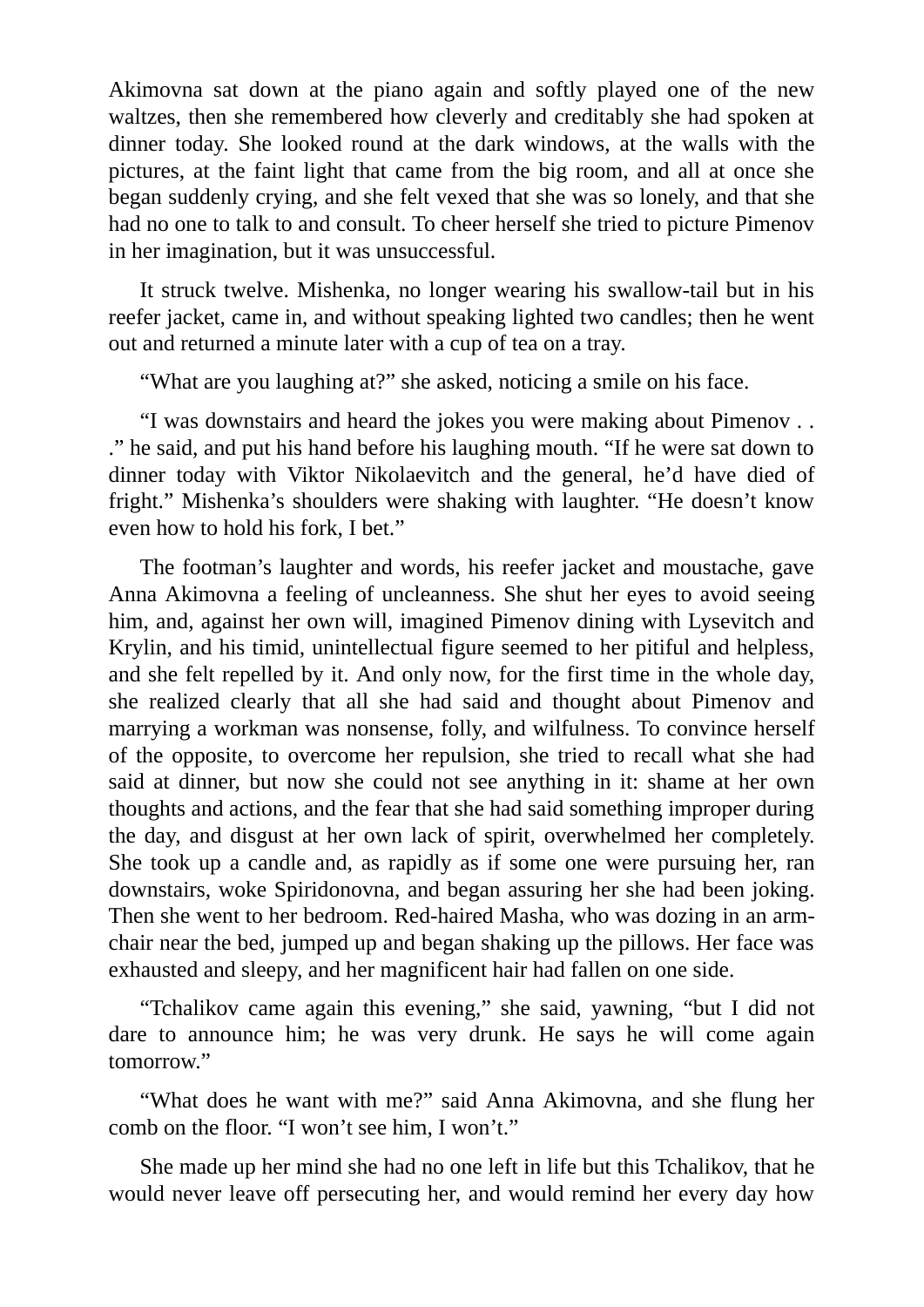Akimovna sat down at the piano again and softly played one of the new waltzes, then she remembered how cleverly and creditably she had spoken at dinner today. She looked round at the dark windows, at the walls with the pictures, at the faint light that came from the big room, and all at once she began suddenly crying, and she felt vexed that she was so lonely, and that she had no one to talk to and consult. To cheer herself she tried to picture Pimenov in her imagination, but it was unsuccessful.

It struck twelve. Mishenka, no longer wearing his swallow-tail but in his reefer jacket, came in, and without speaking lighted two candles; then he went out and returned a minute later with a cup of tea on a tray.

"What are you laughing at?" she asked, noticing a smile on his face.

"I was downstairs and heard the jokes you were making about Pimenov . . ." he said, and put his hand before his laughing mouth. "If he were sat down to dinner today with Viktor Nikolaevitch and the general, he'd have died of fright." Mishenka's shoulders were shaking with laughter. "He doesn't know even how to hold his fork, I bet."

The footman's laughter and words, his reefer jacket and moustache, gave Anna Akimovna a feeling of uncleanness. She shut her eyes to avoid seeing him, and, against her own will, imagined Pimenov dining with Lysevitch and Krylin, and his timid, unintellectual figure seemed to her pitiful and helpless, and she felt repelled by it. And only now, for the first time in the whole day, she realized clearly that all she had said and thought about Pimenov and marrying a workman was nonsense, folly, and wilfulness. To convince herself of the opposite, to overcome her repulsion, she tried to recall what she had said at dinner, but now she could not see anything in it: shame at her own thoughts and actions, and the fear that she had said something improper during the day, and disgust at her own lack of spirit, overwhelmed her completely. She took up a candle and, as rapidly as if some one were pursuing her, ran downstairs, woke Spiridonovna, and began assuring her she had been joking. Then she went to her bedroom. Red-haired Masha, who was dozing in an armchair near the bed, jumped up and began shaking up the pillows. Her face was exhausted and sleepy, and her magnificent hair had fallen on one side.

"Tchalikov came again this evening," she said, yawning, "but I did not dare to announce him; he was very drunk. He says he will come again tomorrow."

"What does he want with me?" said Anna Akimovna, and she flung her comb on the floor. "I won't see him, I won't."

She made up her mind she had no one left in life but this Tchalikov, that he would never leave off persecuting her, and would remind her every day how